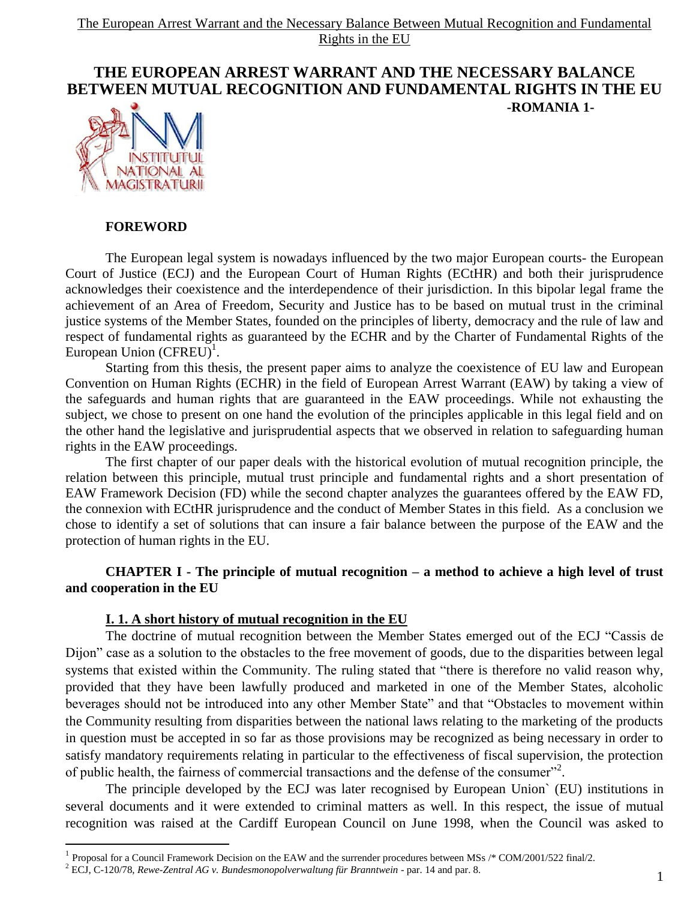# **THE EUROPEAN ARREST WARRANT AND THE NECESSARY BALANCE BETWEEN MUTUAL RECOGNITION AND FUNDAMENTAL RIGHTS IN THE EU -ROMANIA 1-**



### **FOREWORD**

 $\overline{a}$ 

The European legal system is nowadays influenced by the two major European courts- the European Court of Justice (ECJ) and the European Court of Human Rights (ECtHR) and both their jurisprudence acknowledges their coexistence and the interdependence of their jurisdiction. In this bipolar legal frame the achievement of an Area of Freedom, Security and Justice has to be based on mutual trust in the criminal justice systems of the Member States, founded on the principles of liberty, democracy and the rule of law and respect of fundamental rights as guaranteed by the ECHR and by the Charter of Fundamental Rights of the European Union (CFREU)<sup>1</sup>.

Starting from this thesis, the present paper aims to analyze the coexistence of EU law and European Convention on Human Rights (ECHR) in the field of European Arrest Warrant (EAW) by taking a view of the safeguards and human rights that are guaranteed in the EAW proceedings. While not exhausting the subject, we chose to present on one hand the evolution of the principles applicable in this legal field and on the other hand the legislative and jurisprudential aspects that we observed in relation to safeguarding human rights in the EAW proceedings.

The first chapter of our paper deals with the historical evolution of mutual recognition principle, the relation between this principle, mutual trust principle and fundamental rights and a short presentation of EAW Framework Decision (FD) while the second chapter analyzes the guarantees offered by the EAW FD, the connexion with ECtHR jurisprudence and the conduct of Member States in this field. As a conclusion we chose to identify a set of solutions that can insure a fair balance between the purpose of the EAW and the protection of human rights in the EU.

## **CHAPTER I - The principle of mutual recognition – a method to achieve a high level of trust and cooperation in the EU**

### **I. 1. A short history of mutual recognition in the EU**

The doctrine of mutual recognition between the Member States emerged out of the ECJ "Cassis de Dijon" case as a solution to the obstacles to the free movement of goods, due to the disparities between legal systems that existed within the Community. The ruling stated that "there is therefore no valid reason why, provided that they have been lawfully produced and marketed in one of the Member States, alcoholic beverages should not be introduced into any other Member State" and that "Obstacles to movement within the Community resulting from disparities between the national laws relating to the marketing of the products in question must be accepted in so far as those provisions may be recognized as being necessary in order to satisfy mandatory requirements relating in particular to the effectiveness of fiscal supervision, the protection of public health, the fairness of commercial transactions and the defense of the consumer"<sup>2</sup>.

The principle developed by the ECJ was later recognised by European Union` (EU) institutions in several documents and it were extended to criminal matters as well. In this respect, the issue of mutual recognition was raised at the Cardiff European Council on June 1998, when the Council was asked to

<sup>&</sup>lt;sup>1</sup> Proposal for a Council Framework Decision on the EAW and the surrender procedures between MSs /\* COM/2001/522 final/2.

<sup>2</sup> ECJ, C-120/78, *Rewe-Zentral AG v. Bundesmonopolverwaltung für Branntwein* - par. 14 and par. 8.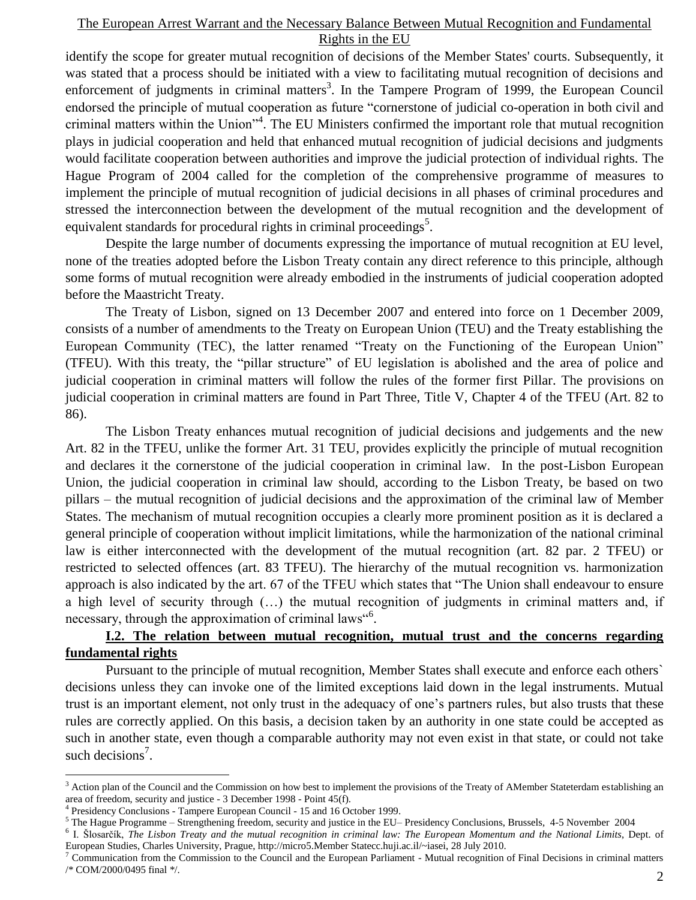identify the scope for greater mutual recognition of decisions of the Member States' courts. Subsequently, it was stated that a process should be initiated with a view to facilitating mutual recognition of decisions and enforcement of judgments in criminal matters<sup>3</sup>. In the Tampere Program of 1999, the European Council endorsed the principle of mutual cooperation as future "cornerstone of judicial co-operation in both civil and criminal matters within the Union"<sup>4</sup>. The EU Ministers confirmed the important role that mutual recognition plays in judicial cooperation and held that enhanced mutual recognition of judicial decisions and judgments would facilitate cooperation between authorities and improve the judicial protection of individual rights. The Hague Program of 2004 called for the completion of the comprehensive programme of measures to implement the principle of mutual recognition of judicial decisions in all phases of criminal procedures and stressed the interconnection between the development of the mutual recognition and the development of equivalent standards for procedural rights in criminal proceedings<sup>5</sup>.

Despite the large number of documents expressing the importance of mutual recognition at EU level, none of the treaties adopted before the Lisbon Treaty contain any direct reference to this principle, although some forms of mutual recognition were already embodied in the instruments of judicial cooperation adopted before the Maastricht Treaty.

The Treaty of Lisbon, signed on 13 December 2007 and entered into force on 1 December 2009, consists of a number of amendments to the Treaty on European Union (TEU) and the Treaty establishing the European Community (TEC), the latter renamed "Treaty on the Functioning of the European Union" (TFEU). With this treaty, the "pillar structure" of EU legislation is abolished and the area of police and judicial cooperation in criminal matters will follow the rules of the former first Pillar. The provisions on judicial cooperation in criminal matters are found in Part Three, Title V, Chapter 4 of the TFEU (Art. 82 to 86).

The Lisbon Treaty enhances mutual recognition of judicial decisions and judgements and the new Art. 82 in the TFEU, unlike the former Art. 31 TEU, provides explicitly the principle of mutual recognition and declares it the cornerstone of the judicial cooperation in criminal law. In the post-Lisbon European Union, the judicial cooperation in criminal law should, according to the Lisbon Treaty, be based on two pillars – the mutual recognition of judicial decisions and the approximation of the criminal law of Member States. The mechanism of mutual recognition occupies a clearly more prominent position as it is declared a general principle of cooperation without implicit limitations, while the harmonization of the national criminal law is either interconnected with the development of the mutual recognition (art. 82 par. 2 TFEU) or restricted to selected offences (art. 83 TFEU). The hierarchy of the mutual recognition vs. harmonization approach is also indicated by the art. 67 of the TFEU which states that "The Union shall endeavour to ensure a high level of security through (…) the mutual recognition of judgments in criminal matters and, if necessary, through the approximation of criminal laws<sup>"6</sup>.

## **I.2. The relation between mutual recognition, mutual trust and the concerns regarding fundamental rights**

Pursuant to the principle of mutual recognition, Member States shall execute and enforce each others` decisions unless they can invoke one of the limited exceptions laid down in the legal instruments. Mutual trust is an important element, not only trust in the adequacy of one"s partners rules, but also trusts that these rules are correctly applied. On this basis, a decision taken by an authority in one state could be accepted as such in another state, even though a comparable authority may not even exist in that state, or could not take such decisions<sup>7</sup>.

<sup>&</sup>lt;sup>3</sup> Action plan of the Council and the Commission on how best to implement the provisions of the Treaty of AMember Stateterdam establishing an area of freedom, security and justice - 3 December 1998 - Point 45(f).

<sup>4</sup> Presidency Conclusions - Tampere European Council - 15 and 16 October 1999.

<sup>&</sup>lt;sup>5</sup> The Hague Programme – Strengthening freedom, security and justice in the EU– Presidency Conclusions, Brussels, 4-5 November 2004

<sup>6</sup> I. Šlosarčík, *The Lisbon Treaty and the mutual recognition in criminal law: The European Momentum and the National Limits*, Dept. of European Studies, Charles University, Prague, http://micro5.Member Statecc.huji.ac.il/~iasei, 28 July 2010.

<sup>7</sup> Communication from the Commission to the Council and the European Parliament - Mutual recognition of Final Decisions in criminal matters /\* COM/2000/0495 final \*/.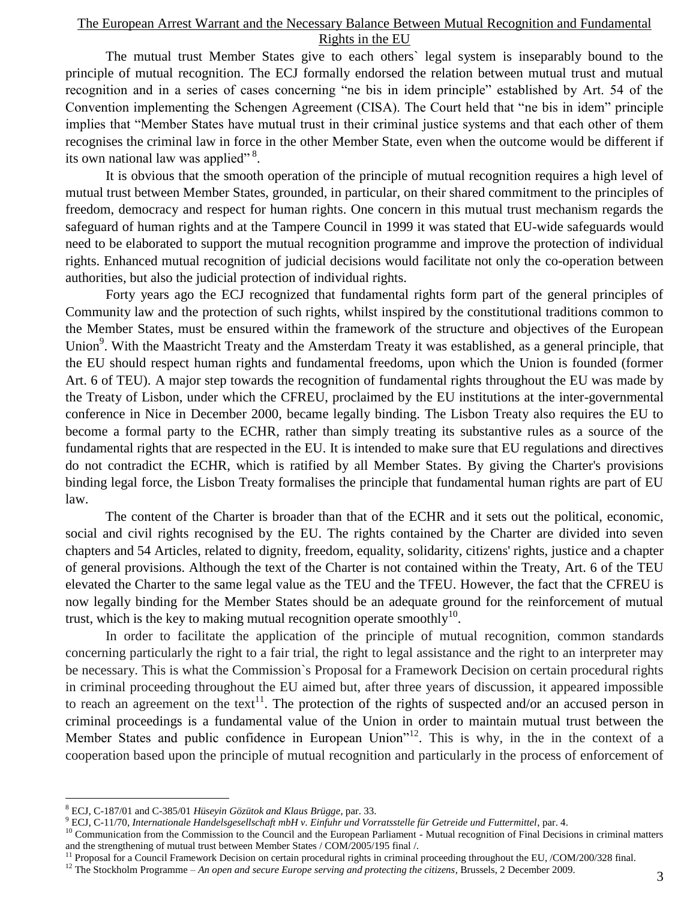The mutual trust Member States give to each others` legal system is inseparably bound to the principle of mutual recognition. The ECJ formally endorsed the relation between mutual trust and mutual recognition and in a series of cases concerning "ne bis in idem principle" established by Art. 54 of the Convention implementing the Schengen Agreement (CISA). The Court held that "ne bis in idem" principle implies that "Member States have mutual trust in their criminal justice systems and that each other of them recognises the criminal law in force in the other Member State, even when the outcome would be different if its own national law was applied"<sup>8</sup>.

It is obvious that the smooth operation of the principle of mutual recognition requires a high level of mutual trust between Member States, grounded, in particular, on their shared commitment to the principles of freedom, democracy and respect for human rights. One concern in this mutual trust mechanism regards the safeguard of human rights and at the Tampere Council in 1999 it was stated that EU-wide safeguards would need to be elaborated to support the mutual recognition programme and improve the protection of individual rights. Enhanced mutual recognition of judicial decisions would facilitate not only the co-operation between authorities, but also the judicial protection of individual rights.

Forty years ago the ECJ recognized that fundamental rights form part of the general principles of Community law and the protection of such rights, whilst inspired by the constitutional traditions common to the Member States, must be ensured within the framework of the structure and objectives of the European Union<sup>9</sup>. With the Maastricht Treaty and the Amsterdam Treaty it was established, as a general principle, that the EU should respect human rights and fundamental freedoms, upon which the Union is founded (former Art. 6 of TEU). A major step towards the recognition of fundamental rights throughout the EU was made by the Treaty of Lisbon, under which the CFREU, proclaimed by the EU institutions at the inter-governmental conference in Nice in December 2000, became legally binding. The Lisbon Treaty also requires the EU to become a formal party to the ECHR, rather than simply treating its substantive rules as a source of the fundamental rights that are respected in the EU. It is intended to make sure that EU regulations and directives do not contradict the ECHR, which is ratified by all Member States. By giving the Charter's provisions binding legal force, the Lisbon Treaty formalises the principle that fundamental human rights are part of EU law.

The content of the Charter is broader than that of the ECHR and it sets out the political, economic, social and civil rights recognised by the EU. The rights contained by the Charter are divided into seven chapters and 54 Articles, related to dignity, freedom, equality, solidarity, citizens' rights, justice and a chapter of general provisions. Although the text of the Charter is not contained within the Treaty, Art. 6 of the TEU elevated the Charter to the same legal value as the TEU and the TFEU. However, the fact that the CFREU is now legally binding for the Member States should be an adequate ground for the reinforcement of mutual trust, which is the key to making mutual recognition operate smoothly $^{10}$ .

In order to facilitate the application of the principle of mutual recognition, common standards concerning particularly the right to a fair trial, the right to legal assistance and the right to an interpreter may be necessary. This is what the Commission`s Proposal for a Framework Decision on certain procedural rights in criminal proceeding throughout the EU aimed but, after three years of discussion, it appeared impossible to reach an agreement on the text<sup>11</sup>. The protection of the rights of suspected and/or an accused person in criminal proceedings is a fundamental value of the Union in order to maintain mutual trust between the Member States and public confidence in European Union<sup>12</sup>. This is why, in the in the context of a cooperation based upon the principle of mutual recognition and particularly in the process of enforcement of

<sup>8</sup> ECJ, C-187/01 and C-385/01 *Hüseyin Gözütok and Klaus Brügge*, par. 33.

<sup>9</sup> ECJ, C-11/70, *Internationale Handelsgesellschaft mbH v. Einfuhr und Vorratsstelle für Getreide und Futtermittel*, par. 4.

<sup>&</sup>lt;sup>10</sup> Communication from the Commission to the Council and the European Parliament - Mutual recognition of Final Decisions in criminal matters and the strengthening of mutual trust between Member States / COM/2005/195 final /.

<sup>&</sup>lt;sup>11</sup> Proposal for a Council Framework Decision on certain procedural rights in criminal proceeding throughout the EU, /COM/200/328 final.

<sup>&</sup>lt;sup>12</sup> The Stockholm Programme – An open and secure Europe serving and protecting the citizens, Brussels, 2 December 2009.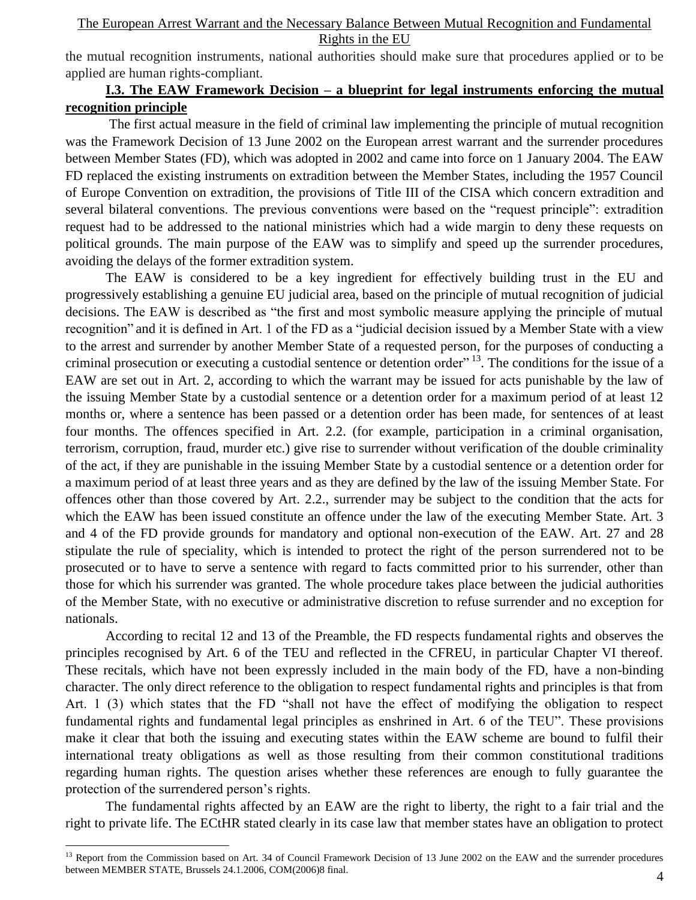the mutual recognition instruments, national authorities should make sure that procedures applied or to be applied are human rights-compliant.

## **I.3. The EAW Framework Decision – a blueprint for legal instruments enforcing the mutual recognition principle**

The first actual measure in the field of criminal law implementing the principle of mutual recognition was the Framework Decision of 13 June 2002 on the European arrest warrant and the surrender procedures between Member States (FD), which was adopted in 2002 and came into force on 1 January 2004. The EAW FD replaced the existing instruments on extradition between the Member States, including the 1957 Council of Europe Convention on extradition, the provisions of Title III of the CISA which concern extradition and several bilateral conventions. The previous conventions were based on the "request principle": extradition request had to be addressed to the national ministries which had a wide margin to deny these requests on political grounds. The main purpose of the EAW was to simplify and speed up the surrender procedures, avoiding the delays of the former extradition system.

The EAW is considered to be a key ingredient for effectively building trust in the EU and progressively establishing a genuine EU judicial area, based on the principle of mutual recognition of judicial decisions. The EAW is described as "the first and most symbolic measure applying the principle of mutual recognition" and it is defined in Art. 1 of the FD as a "judicial decision issued by a Member State with a view to the arrest and surrender by another Member State of a requested person, for the purposes of conducting a criminal prosecution or executing a custodial sentence or detention order<sup> $13$ </sup>. The conditions for the issue of a EAW are set out in Art. 2, according to which the warrant may be issued for acts punishable by the law of the issuing Member State by a custodial sentence or a detention order for a maximum period of at least 12 months or, where a sentence has been passed or a detention order has been made, for sentences of at least four months. The offences specified in Art. 2.2. (for example, participation in a criminal organisation, terrorism, corruption, fraud, murder etc.) give rise to surrender without verification of the double criminality of the act, if they are punishable in the issuing Member State by a custodial sentence or a detention order for a maximum period of at least three years and as they are defined by the law of the issuing Member State. For offences other than those covered by Art. 2.2., surrender may be subject to the condition that the acts for which the EAW has been issued constitute an offence under the law of the executing Member State. Art. 3 and 4 of the FD provide grounds for mandatory and optional non-execution of the EAW. Art. 27 and 28 stipulate the rule of speciality, which is intended to protect the right of the person surrendered not to be prosecuted or to have to serve a sentence with regard to facts committed prior to his surrender, other than those for which his surrender was granted. The whole procedure takes place between the judicial authorities of the Member State, with no executive or administrative discretion to refuse surrender and no exception for nationals.

According to recital 12 and 13 of the Preamble, the FD respects fundamental rights and observes the principles recognised by Art. 6 of the TEU and reflected in the CFREU, in particular Chapter VI thereof. These recitals, which have not been expressly included in the main body of the FD, have a non-binding character. The only direct reference to the obligation to respect fundamental rights and principles is that from Art. 1 (3) which states that the FD "shall not have the effect of modifying the obligation to respect fundamental rights and fundamental legal principles as enshrined in Art. 6 of the TEU". These provisions make it clear that both the issuing and executing states within the EAW scheme are bound to fulfil their international treaty obligations as well as those resulting from their common constitutional traditions regarding human rights. The question arises whether these references are enough to fully guarantee the protection of the surrendered person"s rights.

The fundamental rights affected by an EAW are the right to liberty, the right to a fair trial and the right to private life. The ECtHR stated clearly in its case law that member states have an obligation to protect

<sup>&</sup>lt;sup>13</sup> Report from the Commission based on Art. 34 of Council Framework Decision of 13 June 2002 on the EAW and the surrender procedures between MEMBER STATE, Brussels 24.1.2006, COM(2006)8 final.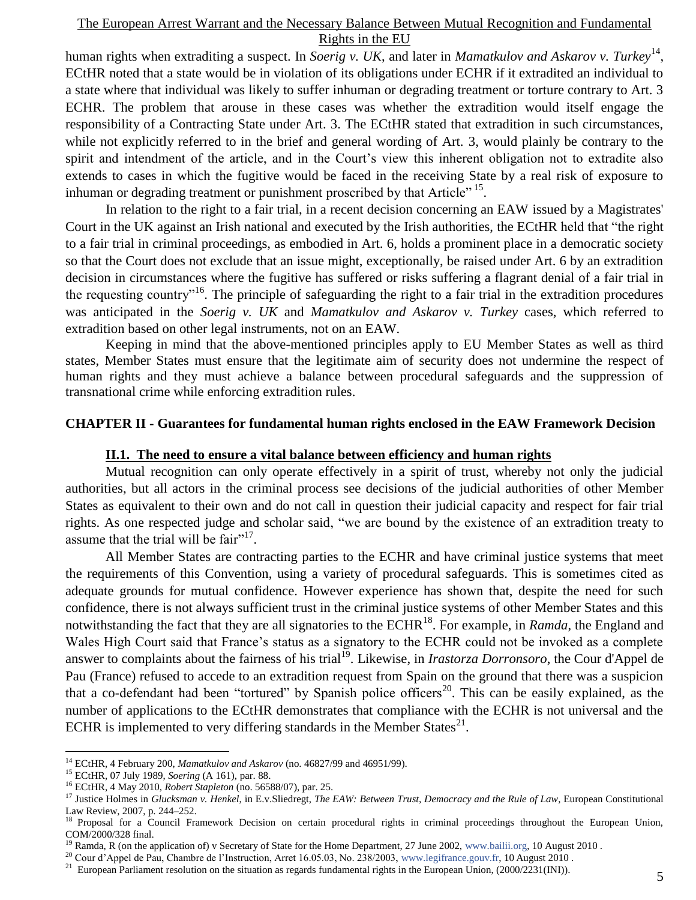human rights when extraditing a suspect. In *Soerig v. UK*, and later in *Mamatkulov and Askarov v. Turkey*<sup>14</sup>, ECtHR noted that a state would be in violation of its obligations under ECHR if it extradited an individual to a state where that individual was likely to suffer inhuman or degrading treatment or torture contrary to Art. 3 ECHR. The problem that arouse in these cases was whether the extradition would itself engage the responsibility of a Contracting State under Art. 3. The ECtHR stated that extradition in such circumstances, while not explicitly referred to in the brief and general wording of Art. 3, would plainly be contrary to the spirit and intendment of the article, and in the Court's view this inherent obligation not to extradite also extends to cases in which the fugitive would be faced in the receiving State by a real risk of exposure to inhuman or degrading treatment or punishment proscribed by that Article"<sup>15</sup>.

In relation to the right to a fair trial, in a recent decision concerning an EAW issued by a Magistrates' Court in the UK against an Irish national and executed by the Irish authorities, the ECtHR held that "the right to a fair trial in criminal proceedings, as embodied in Art. 6, holds a prominent place in a democratic society so that the Court does not exclude that an issue might, exceptionally, be raised under Art. 6 by an extradition decision in circumstances where the fugitive has suffered or risks suffering a flagrant denial of a fair trial in the requesting country<sup> $16$ </sup>. The principle of safeguarding the right to a fair trial in the extradition procedures was anticipated in the *Soerig v. UK* and *Mamatkulov and Askarov v. Turkey* cases, which referred to extradition based on other legal instruments, not on an EAW.

Keeping in mind that the above-mentioned principles apply to EU Member States as well as third states, Member States must ensure that the legitimate aim of security does not undermine the respect of human rights and they must achieve a balance between procedural safeguards and the suppression of transnational crime while enforcing extradition rules.

#### **CHAPTER II - Guarantees for fundamental human rights enclosed in the EAW Framework Decision**

#### **II.1. The need to ensure a vital balance between efficiency and human rights**

Mutual recognition can only operate effectively in a spirit of trust, whereby not only the judicial authorities, but all actors in the criminal process see decisions of the judicial authorities of other Member States as equivalent to their own and do not call in question their judicial capacity and respect for fair trial rights. As one respected judge and scholar said, "we are bound by the existence of an extradition treaty to assume that the trial will be  $\text{fair}^{\cdot 17}$ .

All Member States are contracting parties to the ECHR and have criminal justice systems that meet the requirements of this Convention, using a variety of procedural safeguards. This is sometimes cited as adequate grounds for mutual confidence. However experience has shown that, despite the need for such confidence, there is not always sufficient trust in the criminal justice systems of other Member States and this notwithstanding the fact that they are all signatories to the ECHR<sup>18</sup>. For example, in *Ramda*, the England and Wales High Court said that France's status as a signatory to the ECHR could not be invoked as a complete answer to complaints about the fairness of his trial<sup>19</sup>. Likewise, in *Irastorza Dorronsoro*, the Cour d'Appel de Pau (France) refused to accede to an extradition request from Spain on the ground that there was a suspicion that a co-defendant had been "tortured" by Spanish police officers<sup>20</sup>. This can be easily explained, as the number of applications to the ECtHR demonstrates that compliance with the ECHR is not universal and the ECHR is implemented to very differing standards in the Member States $^{21}$ .

<sup>&</sup>lt;sup>14</sup> ECtHR, 4 February 200, *Mamatkulov and Askarov* (no. 46827/99 and 46951/99).

<sup>15</sup> ECtHR, 07 July 1989, *Soering* (A 161), par. 88.

<sup>16</sup> ECtHR, 4 May 2010, *Robert Stapleton* (no. 56588/07), par. 25.

<sup>&</sup>lt;sup>17</sup> Justice Holmes in *Glucksman v. Henkel*, in E.v.Sliedregt, *The EAW: Between Trust, Democracy and the Rule of Law*, European Constitutional Law Review, 2007, p. 244–252.

<sup>&</sup>lt;sup>18</sup> Proposal for a Council Framework Decision on certain procedural rights in criminal proceedings throughout the European Union, COM/2000/328 final.

<sup>&</sup>lt;sup>19</sup> Ramda, R (on the application of) v Secretary of State for the Home Department, 27 June 2002, [www.bailii.org,](http://www.bailii.org/) 10 August 2010.

<sup>&</sup>lt;sup>20</sup> Cour d'Appel de Pau, Chambre de l'Instruction, Arret 16.05.03, No. 238/2003, [www.legifrance.gouv.fr,](http://www.legifrance.gouv.fr/) 10 August 2010.

<sup>&</sup>lt;sup>21</sup> European Parliament resolution on the situation as regards fundamental rights in the European Union,  $(2000/2231(INI))$ .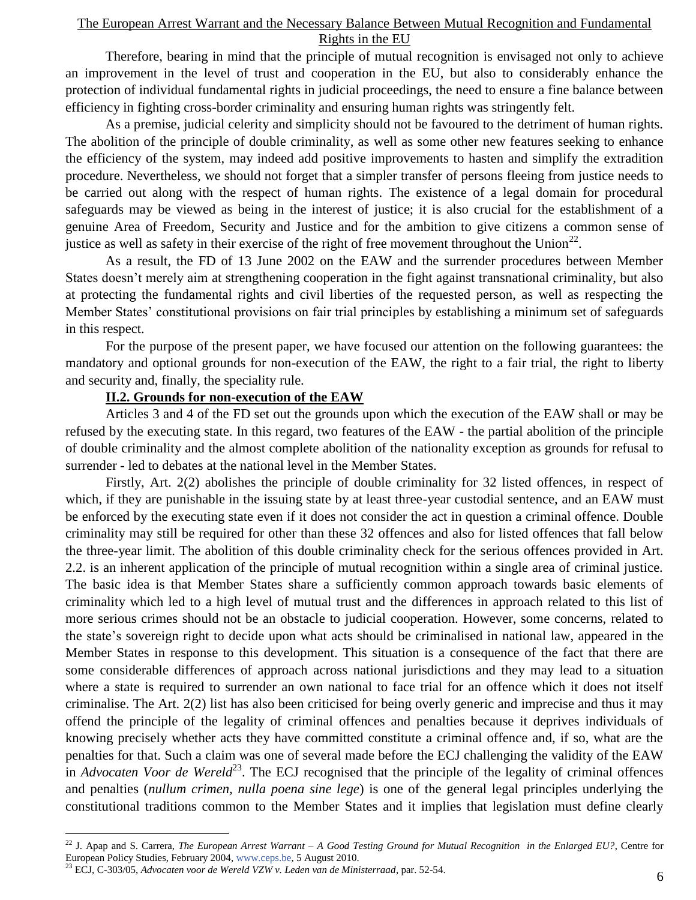Therefore, bearing in mind that the principle of mutual recognition is envisaged not only to achieve an improvement in the level of trust and cooperation in the EU, but also to considerably enhance the protection of individual fundamental rights in judicial proceedings, the need to ensure a fine balance between efficiency in fighting cross-border criminality and ensuring human rights was stringently felt.

As a premise, judicial celerity and simplicity should not be favoured to the detriment of human rights. The abolition of the principle of double criminality, as well as some other new features seeking to enhance the efficiency of the system, may indeed add positive improvements to hasten and simplify the extradition procedure. Nevertheless, we should not forget that a simpler transfer of persons fleeing from justice needs to be carried out along with the respect of human rights. The existence of a legal domain for procedural safeguards may be viewed as being in the interest of justice; it is also crucial for the establishment of a genuine Area of Freedom, Security and Justice and for the ambition to give citizens a common sense of justice as well as safety in their exercise of the right of free movement throughout the Union<sup>22</sup>.

As a result, the FD of 13 June 2002 on the EAW and the surrender procedures between Member States doesn"t merely aim at strengthening cooperation in the fight against transnational criminality, but also at protecting the fundamental rights and civil liberties of the requested person, as well as respecting the Member States" constitutional provisions on fair trial principles by establishing a minimum set of safeguards in this respect.

For the purpose of the present paper, we have focused our attention on the following guarantees: the mandatory and optional grounds for non-execution of the EAW, the right to a fair trial, the right to liberty and security and, finally, the speciality rule.

### **II.2. Grounds for non-execution of the EAW**

Articles 3 and 4 of the FD set out the grounds upon which the execution of the EAW shall or may be refused by the executing state. In this regard, two features of the EAW - the partial abolition of the principle of double criminality and the almost complete abolition of the nationality exception as grounds for refusal to surrender - led to debates at the national level in the Member States.

Firstly, Art. 2(2) abolishes the principle of double criminality for 32 listed offences, in respect of which, if they are punishable in the issuing state by at least three-year custodial sentence, and an EAW must be enforced by the executing state even if it does not consider the act in question a criminal offence. Double criminality may still be required for other than these 32 offences and also for listed offences that fall below the three-year limit. The abolition of this double criminality check for the serious offences provided in Art. 2.2. is an inherent application of the principle of mutual recognition within a single area of criminal justice. The basic idea is that Member States share a sufficiently common approach towards basic elements of criminality which led to a high level of mutual trust and the differences in approach related to this list of more serious crimes should not be an obstacle to judicial cooperation. However, some concerns, related to the state"s sovereign right to decide upon what acts should be criminalised in national law, appeared in the Member States in response to this development. This situation is a consequence of the fact that there are some considerable differences of approach across national jurisdictions and they may lead to a situation where a state is required to surrender an own national to face trial for an offence which it does not itself criminalise. The Art. 2(2) list has also been criticised for being overly generic and imprecise and thus it may offend the principle of the legality of criminal offences and penalties because it deprives individuals of knowing precisely whether acts they have committed constitute a criminal offence and, if so, what are the penalties for that. Such a claim was one of several made before the ECJ challenging the validity of the EAW in *Advocaten Voor de Wereld*<sup>23</sup>. The ECJ recognised that the principle of the legality of criminal offences and penalties (*nullum crimen, nulla poena sine lege*) is one of the general legal principles underlying the constitutional traditions common to the Member States and it implies that legislation must define clearly

<sup>22</sup> J. Apap and S. Carrera, *The European Arrest Warrant – A Good Testing Ground for Mutual Recognition in the Enlarged EU?*, Centre for European Policy Studies, February 2004, [www.ceps.be,](http://www.ceps.be/) 5 August 2010.

<sup>23</sup> ECJ, C-303/05, *Advocaten voor de Wereld VZW v. Leden van de Ministerraad*, par. 52-54.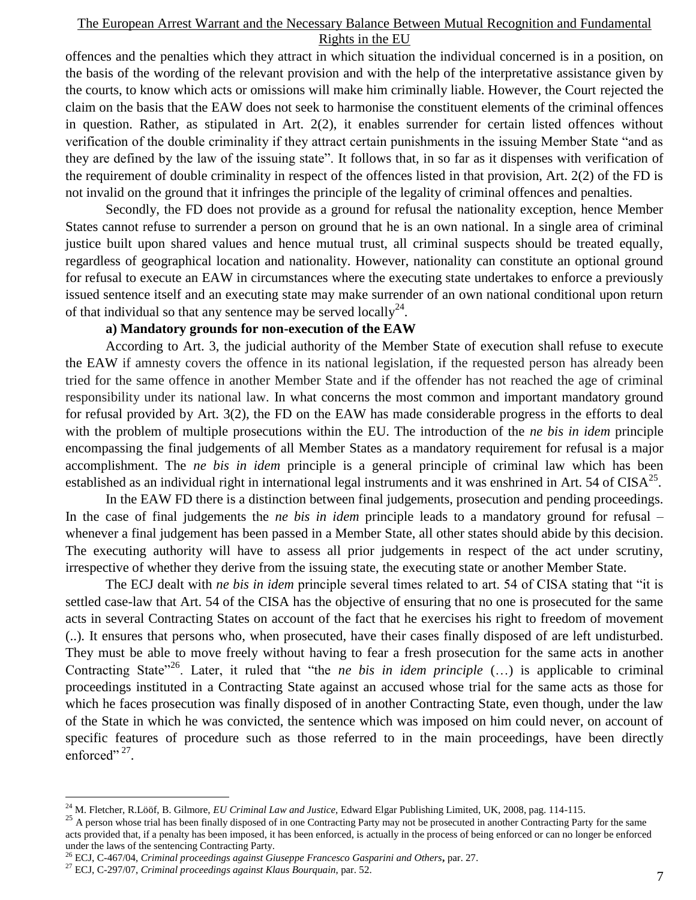offences and the penalties which they attract in which situation the individual concerned is in a position, on the basis of the wording of the relevant provision and with the help of the interpretative assistance given by the courts, to know which acts or omissions will make him criminally liable. However, the Court rejected the claim on the basis that the EAW does not seek to harmonise the constituent elements of the criminal offences in question. Rather, as stipulated in Art. 2(2), it enables surrender for certain listed offences without verification of the double criminality if they attract certain punishments in the issuing Member State "and as they are defined by the law of the issuing state". It follows that, in so far as it dispenses with verification of the requirement of double criminality in respect of the offences listed in that provision, Art. 2(2) of the FD is not invalid on the ground that it infringes the principle of the legality of criminal offences and penalties.

Secondly, the FD does not provide as a ground for refusal the nationality exception, hence Member States cannot refuse to surrender a person on ground that he is an own national. In a single area of criminal justice built upon shared values and hence mutual trust, all criminal suspects should be treated equally, regardless of geographical location and nationality. However, nationality can constitute an optional ground for refusal to execute an EAW in circumstances where the executing state undertakes to enforce a previously issued sentence itself and an executing state may make surrender of an own national conditional upon return of that individual so that any sentence may be served locally<sup>24</sup>.

### **a) Mandatory grounds for non-execution of the EAW**

According to Art. 3, the judicial authority of the Member State of execution shall refuse to execute the EAW if amnesty covers the offence in its national legislation, if the requested person has already been tried for the same offence in another Member State and if the offender has not reached the age of criminal responsibility under its national law. In what concerns the most common and important mandatory ground for refusal provided by Art. 3(2), the FD on the EAW has made considerable progress in the efforts to deal with the problem of multiple prosecutions within the EU. The introduction of the *ne bis in idem* principle encompassing the final judgements of all Member States as a mandatory requirement for refusal is a major accomplishment. The *ne bis in idem* principle is a general principle of criminal law which has been established as an individual right in international legal instruments and it was enshrined in Art. 54 of CISA $^{25}$ .

In the EAW FD there is a distinction between final judgements, prosecution and pending proceedings. In the case of final judgements the *ne bis in idem* principle leads to a mandatory ground for refusal – whenever a final judgement has been passed in a Member State, all other states should abide by this decision. The executing authority will have to assess all prior judgements in respect of the act under scrutiny, irrespective of whether they derive from the issuing state, the executing state or another Member State.

The ECJ dealt with *ne bis in idem* principle several times related to art. 54 of CISA stating that "it is settled case-law that Art. 54 of the CISA has the objective of ensuring that no one is prosecuted for the same acts in several Contracting States on account of the fact that he exercises his right to freedom of movement (..). It ensures that persons who, when prosecuted, have their cases finally disposed of are left undisturbed. They must be able to move freely without having to fear a fresh prosecution for the same acts in another Contracting State<sup>"26</sup>. Later, it ruled that "the *ne bis in idem principle* (...) is applicable to criminal proceedings instituted in a Contracting State against an accused whose trial for the same acts as those for which he faces prosecution was finally disposed of in another Contracting State, even though, under the law of the State in which he was convicted, the sentence which was imposed on him could never, on account of specific features of procedure such as those referred to in the main proceedings, have been directly enforced". $^{27}$ .

<sup>24</sup> M. Fletcher, R.Lööf, B. Gilmore, *EU Criminal Law and Justice*, Edward Elgar Publishing Limited, UK, 2008, pag. 114-115.

<sup>&</sup>lt;sup>25</sup> A person whose trial has been finally disposed of in one Contracting Party may not be prosecuted in another Contracting Party for the same acts provided that, if a penalty has been imposed, it has been enforced, is actually in the process of being enforced or can no longer be enforced under the laws of the sentencing Contracting Party.

<sup>26</sup> ECJ, C-467/04, *Criminal proceedings against Giuseppe Francesco Gasparini and Others***,** par. 27.

<sup>27</sup> ECJ, C-297/07, *Criminal proceedings against Klaus Bourquain*, par. 52.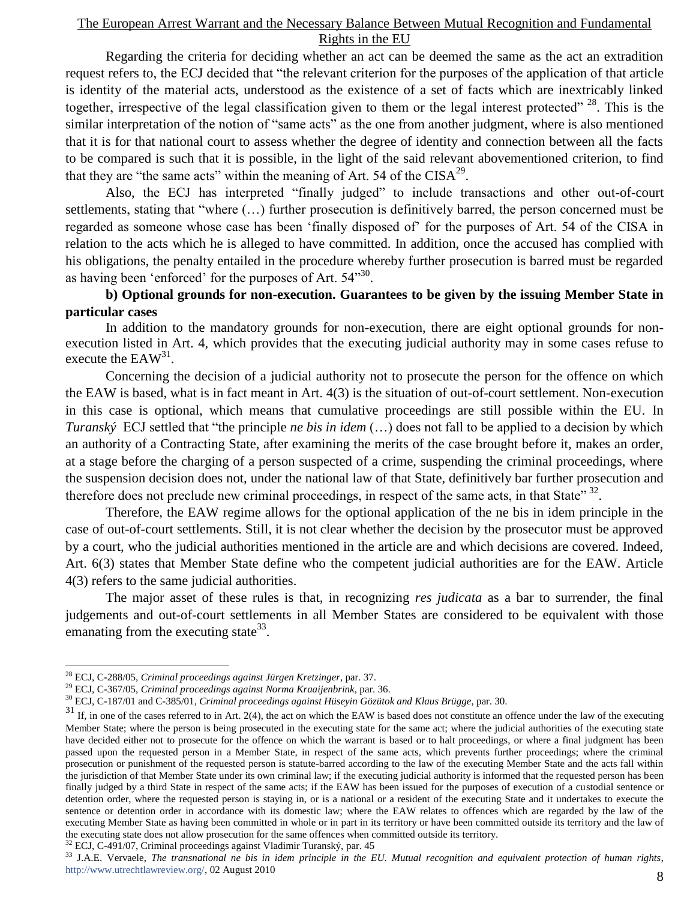Regarding the criteria for deciding whether an act can be deemed the same as the act an extradition request refers to, the ECJ decided that "the relevant criterion for the purposes of the application of that article is identity of the material acts, understood as the existence of a set of facts which are inextricably linked together, irrespective of the legal classification given to them or the legal interest protected" <sup>28</sup>. This is the similar interpretation of the notion of "same acts" as the one from another judgment, where is also mentioned that it is for that national court to assess whether the degree of identity and connection between all the facts to be compared is such that it is possible, in the light of the said relevant abovementioned criterion, to find that they are "the same acts" within the meaning of Art. 54 of the  $CISA^{29}$ .

Also, the ECJ has interpreted "finally judged" to include transactions and other out-of-court settlements, stating that "where (…) further prosecution is definitively barred, the person concerned must be regarded as someone whose case has been "finally disposed of" for the purposes of Art. 54 of the CISA in relation to the acts which he is alleged to have committed. In addition, once the accused has complied with his obligations, the penalty entailed in the procedure whereby further prosecution is barred must be regarded as having been 'enforced' for the purposes of Art.  $54^{330}$ .

# **b) Optional grounds for non-execution. Guarantees to be given by the issuing Member State in particular cases**

In addition to the mandatory grounds for non-execution, there are eight optional grounds for nonexecution listed in Art. 4, which provides that the executing judicial authority may in some cases refuse to execute the  $EAW^{31}$ .

Concerning the decision of a judicial authority not to prosecute the person for the offence on which the EAW is based, what is in fact meant in Art. 4(3) is the situation of out-of-court settlement. Non-execution in this case is optional, which means that cumulative proceedings are still possible within the EU. In *Turanský* ECJ settled that "the principle *ne bis in idem* (…) does not fall to be applied to a decision by which an authority of a Contracting State, after examining the merits of the case brought before it, makes an order, at a stage before the charging of a person suspected of a crime, suspending the criminal proceedings, where the suspension decision does not, under the national law of that State, definitively bar further prosecution and therefore does not preclude new criminal proceedings, in respect of the same acts, in that State"  $32$ .

Therefore, the EAW regime allows for the optional application of the ne bis in idem principle in the case of out-of-court settlements. Still, it is not clear whether the decision by the prosecutor must be approved by a court, who the judicial authorities mentioned in the article are and which decisions are covered. Indeed, Art. 6(3) states that Member State define who the competent judicial authorities are for the EAW. Article 4(3) refers to the same judicial authorities.

The major asset of these rules is that, in recognizing *res judicata* as a bar to surrender, the final judgements and out-of-court settlements in all Member States are considered to be equivalent with those emanating from the executing state  $33$ .

<sup>28</sup> ECJ, C-288/05, *Criminal proceedings against Jürgen Kretzinger*, par. 37.

<sup>29</sup> ECJ, C-367/05, *Criminal proceedings against Norma Kraaijenbrink*, par. 36.

<sup>30</sup> ECJ, C-187/01 and C-385/01, *Criminal proceedings against Hüseyin Gözütok and Klaus Brügge*, par. 30.

 $31$  If, in one of the cases referred to in Art. 2(4), the act on which the EAW is based does not constitute an offence under the law of the executing Member State; where the person is being prosecuted in the executing state for the same act; where the judicial authorities of the executing state have decided either not to prosecute for the offence on which the warrant is based or to halt proceedings, or where a final judgment has been passed upon the requested person in a Member State, in respect of the same acts, which prevents further proceedings; where the criminal prosecution or punishment of the requested person is statute-barred according to the law of the executing Member State and the acts fall within the jurisdiction of that Member State under its own criminal law; if the executing judicial authority is informed that the requested person has been finally judged by a third State in respect of the same acts; if the EAW has been issued for the purposes of execution of a custodial sentence or detention order, where the requested person is staying in, or is a national or a resident of the executing State and it undertakes to execute the sentence or detention order in accordance with its domestic law; where the EAW relates to offences which are regarded by the law of the executing Member State as having been committed in whole or in part in its territory or have been committed outside its territory and the law of the executing state does not allow prosecution for the same offences when committed outside its territory.

<sup>32</sup> ECJ, C-491/07, Criminal proceedings against Vladimir Turanský, par. 45

<sup>33</sup> J.A.E. Vervaele, *The transnational ne bis in idem principle in the EU. Mutual recognition and equivalent protection of human rights*, [http://www.utrechtlawreview.org/,](http://www.utrechtlawreview.org/) 02 August 2010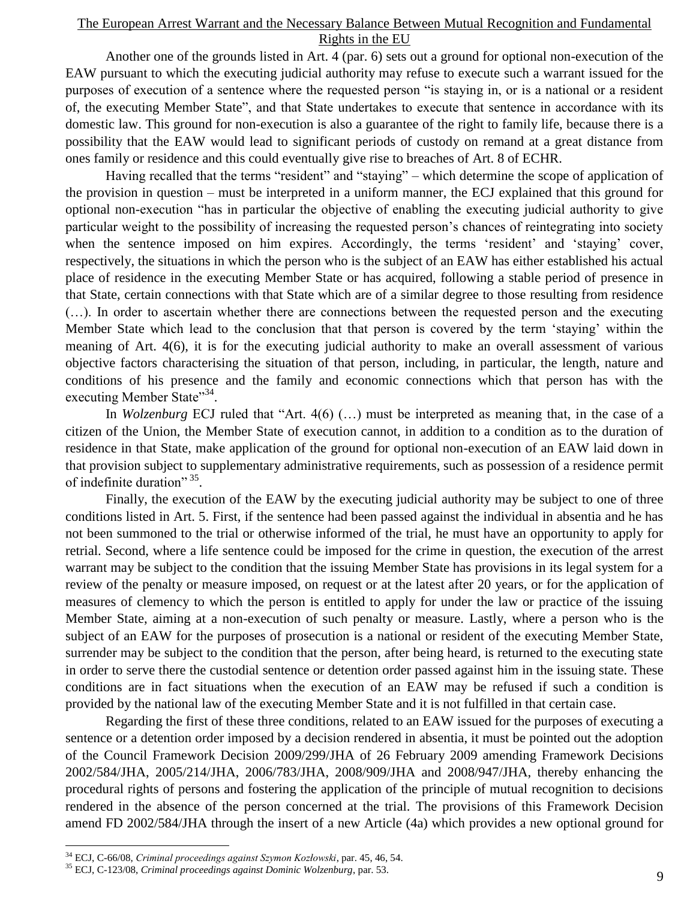Another one of the grounds listed in Art. 4 (par. 6) sets out a ground for optional non-execution of the EAW pursuant to which the executing judicial authority may refuse to execute such a warrant issued for the purposes of execution of a sentence where the requested person "is staying in, or is a national or a resident of, the executing Member State", and that State undertakes to execute that sentence in accordance with its domestic law. This ground for non-execution is also a guarantee of the right to family life, because there is a possibility that the EAW would lead to significant periods of custody on remand at a great distance from ones family or residence and this could eventually give rise to breaches of Art. 8 of ECHR.

Having recalled that the terms "resident" and "staying" – which determine the scope of application of the provision in question – must be interpreted in a uniform manner, the ECJ explained that this ground for optional non-execution "has in particular the objective of enabling the executing judicial authority to give particular weight to the possibility of increasing the requested person"s chances of reintegrating into society when the sentence imposed on him expires. Accordingly, the terms 'resident' and 'staying' cover, respectively, the situations in which the person who is the subject of an EAW has either established his actual place of residence in the executing Member State or has acquired, following a stable period of presence in that State, certain connections with that State which are of a similar degree to those resulting from residence (…). In order to ascertain whether there are connections between the requested person and the executing Member State which lead to the conclusion that that person is covered by the term "staying" within the meaning of Art. 4(6), it is for the executing judicial authority to make an overall assessment of various objective factors characterising the situation of that person, including, in particular, the length, nature and conditions of his presence and the family and economic connections which that person has with the executing Member State"<sup>34</sup>.

In *Wolzenburg* ECJ ruled that "Art. 4(6) (...) must be interpreted as meaning that, in the case of a citizen of the Union, the Member State of execution cannot, in addition to a condition as to the duration of residence in that State, make application of the ground for optional non-execution of an EAW laid down in that provision subject to supplementary administrative requirements, such as possession of a residence permit of indefinite duration" 35.

Finally, the execution of the EAW by the executing judicial authority may be subject to one of three conditions listed in Art. 5. First, if the sentence had been passed against the individual in absentia and he has not been summoned to the trial or otherwise informed of the trial, he must have an opportunity to apply for retrial. Second, where a life sentence could be imposed for the crime in question, the execution of the arrest warrant may be subject to the condition that the issuing Member State has provisions in its legal system for a review of the penalty or measure imposed, on request or at the latest after 20 years, or for the application of measures of clemency to which the person is entitled to apply for under the law or practice of the issuing Member State, aiming at a non-execution of such penalty or measure. Lastly, where a person who is the subject of an EAW for the purposes of prosecution is a national or resident of the executing Member State, surrender may be subject to the condition that the person, after being heard, is returned to the executing state in order to serve there the custodial sentence or detention order passed against him in the issuing state. These conditions are in fact situations when the execution of an EAW may be refused if such a condition is provided by the national law of the executing Member State and it is not fulfilled in that certain case.

Regarding the first of these three conditions, related to an EAW issued for the purposes of executing a sentence or a detention order imposed by a decision rendered in absentia, it must be pointed out the adoption of the Council Framework Decision 2009/299/JHA of 26 February 2009 amending Framework Decisions 2002/584/JHA, 2005/214/JHA, 2006/783/JHA, 2008/909/JHA and 2008/947/JHA, thereby enhancing the procedural rights of persons and fostering the application of the principle of mutual recognition to decisions rendered in the absence of the person concerned at the trial. The provisions of this Framework Decision amend FD 2002/584/JHA through the insert of a new Article (4a) which provides a new optional ground for

<sup>34</sup> ECJ, C-66/08, *Criminal proceedings against Szymon Kozłowski*, par. 45, 46, 54.

<sup>35</sup> ECJ, C-123/08, *Criminal proceedings against Dominic Wolzenburg*, par. 53.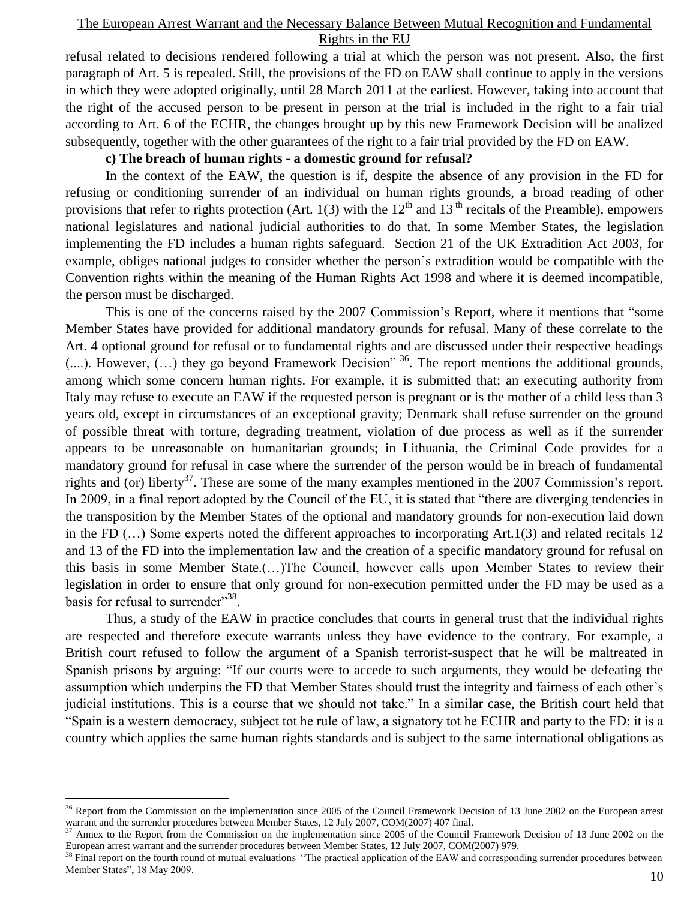refusal related to decisions rendered following a trial at which the person was not present. Also, the first paragraph of Art. 5 is repealed. Still, the provisions of the FD on EAW shall continue to apply in the versions in which they were adopted originally, until 28 March 2011 at the earliest. However, taking into account that the right of the accused person to be present in person at the trial is included in the right to a fair trial according to Art. 6 of the ECHR, the changes brought up by this new Framework Decision will be analized subsequently, together with the other guarantees of the right to a fair trial provided by the FD on EAW.

#### **c) The breach of human rights - a domestic ground for refusal?**

In the context of the EAW, the question is if, despite the absence of any provision in the FD for refusing or conditioning surrender of an individual on human rights grounds, a broad reading of other provisions that refer to rights protection (Art. 1(3) with the  $12<sup>th</sup>$  and  $13<sup>th</sup>$  recitals of the Preamble), empowers national legislatures and national judicial authorities to do that. In some Member States, the legislation implementing the FD includes a human rights safeguard. Section 21 of the UK Extradition Act 2003, for example, obliges national judges to consider whether the person"s extradition would be compatible with the Convention rights within the meaning of the Human Rights Act 1998 and where it is deemed incompatible, the person must be discharged.

This is one of the concerns raised by the 2007 Commission"s Report, where it mentions that "some Member States have provided for additional mandatory grounds for refusal. Many of these correlate to the Art. 4 optional ground for refusal or to fundamental rights and are discussed under their respective headings (....). However, (...) they go beyond Framework Decision<sup>" 36</sup>. The report mentions the additional grounds, among which some concern human rights. For example, it is submitted that: an executing authority from Italy may refuse to execute an EAW if the requested person is pregnant or is the mother of a child less than 3 years old, except in circumstances of an exceptional gravity; Denmark shall refuse surrender on the ground of possible threat with torture, degrading treatment, violation of due process as well as if the surrender appears to be unreasonable on humanitarian grounds; in Lithuania, the Criminal Code provides for a mandatory ground for refusal in case where the surrender of the person would be in breach of fundamental rights and (or) liberty<sup>37</sup>. These are some of the many examples mentioned in the 2007 Commission's report. In 2009, in a final report adopted by the Council of the EU, it is stated that "there are diverging tendencies in the transposition by the Member States of the optional and mandatory grounds for non-execution laid down in the FD (…) Some experts noted the different approaches to incorporating Art.1(3) and related recitals 12 and 13 of the FD into the implementation law and the creation of a specific mandatory ground for refusal on this basis in some Member State.(…)The Council, however calls upon Member States to review their legislation in order to ensure that only ground for non-execution permitted under the FD may be used as a basis for refusal to surrender"<sup>38</sup>.

Thus, a study of the EAW in practice concludes that courts in general trust that the individual rights are respected and therefore execute warrants unless they have evidence to the contrary. For example, a British court refused to follow the argument of a Spanish terrorist-suspect that he will be maltreated in Spanish prisons by arguing: "If our courts were to accede to such arguments, they would be defeating the assumption which underpins the FD that Member States should trust the integrity and fairness of each other"s judicial institutions. This is a course that we should not take." In a similar case, the British court held that "Spain is a western democracy, subject tot he rule of law, a signatory tot he ECHR and party to the FD; it is a country which applies the same human rights standards and is subject to the same international obligations as

<sup>&</sup>lt;sup>36</sup> Report from the Commission on the implementation since 2005 of the Council Framework Decision of 13 June 2002 on the European arrest warrant and the surrender procedures between Member States, 12 July 2007, COM(2007) 407 final.

 $37$  Annex to the Report from the Commission on the implementation since 2005 of the Council Framework Decision of 13 June 2002 on the European arrest warrant and the surrender procedures between Member States, 12 July 2007, COM(2007) 979.

 $38$  Final report on the fourth round of mutual evaluations "The practical application of the EAW and corresponding surrender procedures between Member States", 18 May 2009.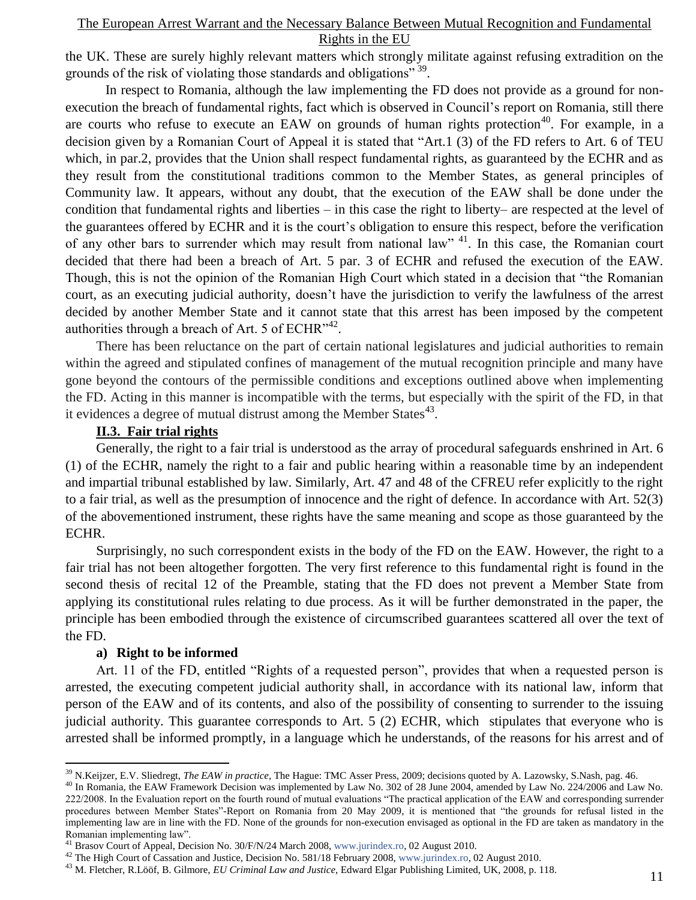the UK. These are surely highly relevant matters which strongly militate against refusing extradition on the grounds of the risk of violating those standards and obligations"<sup>39</sup>.

In respect to Romania, although the law implementing the FD does not provide as a ground for nonexecution the breach of fundamental rights, fact which is observed in Council"s report on Romania, still there are courts who refuse to execute an EAW on grounds of human rights protection<sup>40</sup>. For example, in a decision given by a Romanian Court of Appeal it is stated that "Art.1 (3) of the FD refers to Art. 6 of TEU which, in par.2, provides that the Union shall respect fundamental rights, as guaranteed by the ECHR and as they result from the constitutional traditions common to the Member States, as general principles of Community law. It appears, without any doubt, that the execution of the EAW shall be done under the condition that fundamental rights and liberties – in this case the right to liberty– are respected at the level of the guarantees offered by ECHR and it is the court's obligation to ensure this respect, before the verification of any other bars to surrender which may result from national law" <sup>41</sup>. In this case, the Romanian court decided that there had been a breach of Art. 5 par. 3 of ECHR and refused the execution of the EAW. Though, this is not the opinion of the Romanian High Court which stated in a decision that "the Romanian court, as an executing judicial authority, doesn"t have the jurisdiction to verify the lawfulness of the arrest decided by another Member State and it cannot state that this arrest has been imposed by the competent authorities through a breach of Art. 5 of ECHR $^{342}$ .

There has been reluctance on the part of certain national legislatures and judicial authorities to remain within the agreed and stipulated confines of management of the mutual recognition principle and many have gone beyond the contours of the permissible conditions and exceptions outlined above when implementing the FD. Acting in this manner is incompatible with the terms, but especially with the spirit of the FD, in that it evidences a degree of mutual distrust among the Member States $^{43}$ .

## **II.3. Fair trial rights**

Generally, the right to a fair trial is understood as the array of procedural safeguards enshrined in Art. 6 (1) of the ECHR, namely the right to a fair and public hearing within a reasonable time by an independent and impartial tribunal established by law. Similarly, Art. 47 and 48 of the CFREU refer explicitly to the right to a fair trial, as well as the presumption of innocence and the right of defence. In accordance with Art. 52(3) of the abovementioned instrument, these rights have the same meaning and scope as those guaranteed by the ECHR.

Surprisingly, no such correspondent exists in the body of the FD on the EAW. However, the right to a fair trial has not been altogether forgotten. The very first reference to this fundamental right is found in the second thesis of recital 12 of the Preamble, stating that the FD does not prevent a Member State from applying its constitutional rules relating to due process. As it will be further demonstrated in the paper, the principle has been embodied through the existence of circumscribed guarantees scattered all over the text of the FD.

### **a) Right to be informed**

 $\overline{a}$ 

Art. 11 of the FD, entitled "Rights of a requested person", provides that when a requested person is arrested, the executing competent judicial authority shall, in accordance with its national law, inform that person of the EAW and of its contents, and also of the possibility of consenting to surrender to the issuing judicial authority. This guarantee corresponds to Art. 5 (2) ECHR, which stipulates that everyone who is arrested shall be informed promptly, in a language which he understands, of the reasons for his arrest and of

<sup>39</sup> N.Keijzer, E.V. Sliedregt, *The EAW in practice*, The Hague: TMC Asser Press, 2009; decisions quoted by A. Lazowsky, S.Nash, pag. 46.

<sup>&</sup>lt;sup>40</sup> In Romania, the EAW Framework Decision was implemented by Law No. 302 of 28 June 2004, amended by Law No. 224/2006 and Law No. 222/2008. In the Evaluation report on the fourth round of mutual evaluations "The practical application of the EAW and corresponding surrender procedures between Member States"-Report on Romania from 20 May 2009, it is mentioned that "the grounds for refusal listed in the implementing law are in line with the FD. None of the grounds for non-execution envisaged as optional in the FD are taken as mandatory in the Romanian implementing law".

<sup>41</sup> Brasov Court of Appeal, Decision No. 30/F/N/24 March 2008, [www.jurindex.ro,](http://www.jurindex.ro/) 02 August 2010.

<sup>&</sup>lt;sup>42</sup> The High Court of Cassation and Justice, Decision No. 581/18 February 2008[, www.jurindex.ro,](http://www.jurindex.ro/) 02 August 2010.

<sup>43</sup> M. Fletcher, R.Lööf, B. Gilmore, *EU Criminal Law and Justice*, Edward Elgar Publishing Limited, UK, 2008, p. 118.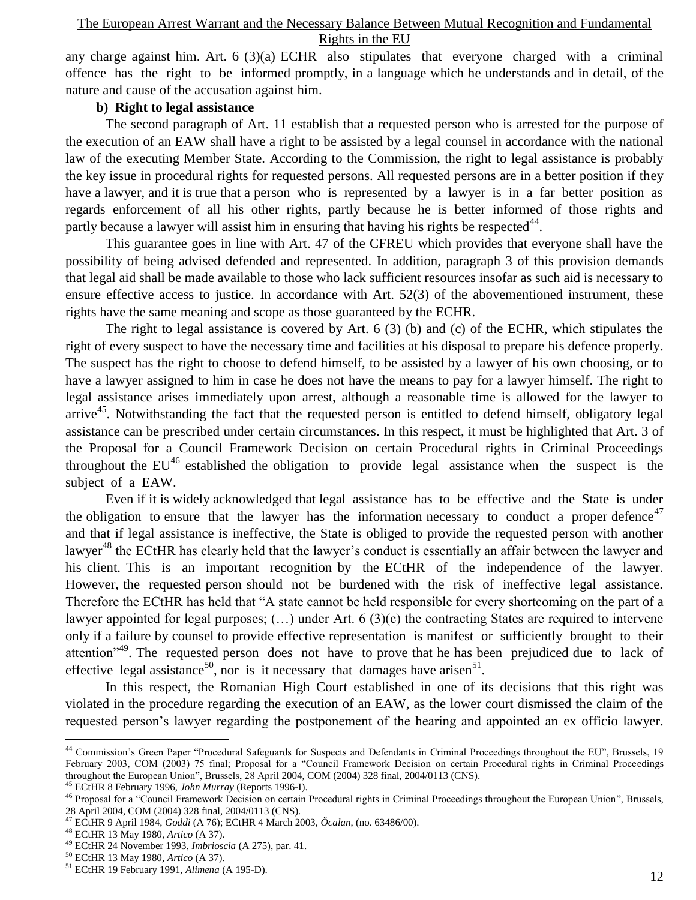any charge against him. Art. 6 (3)(a) ECHR also stipulates that everyone charged with a criminal offence has the right to be informed promptly, in a language which he understands and in detail, of the nature and cause of the accusation against him.

## **b) Right to legal assistance**

The second paragraph of Art. 11 establish that a requested person who is arrested for the purpose of the execution of an EAW shall have a right to be assisted by a legal counsel in accordance with the national law of the executing Member State. According to the Commission, the right to legal assistance is probably the key issue in procedural rights for requested persons. All requested persons are in a better position if they have a lawyer, and it is true that a person who is represented by a lawyer is in a far better position as regards enforcement of all his other rights, partly because he is better informed of those rights and partly because a lawyer will assist him in ensuring that having his rights be respected $44$ .

This guarantee goes in line with Art. 47 of the CFREU which provides that everyone shall have the possibility of being advised defended and represented. In addition, paragraph 3 of this provision demands that legal aid shall be made available to those who lack sufficient resources insofar as such aid is necessary to ensure effective access to justice. In accordance with Art. 52(3) of the abovementioned instrument, these rights have the same meaning and scope as those guaranteed by the ECHR.

The right to legal assistance is covered by Art. 6 (3) (b) and (c) of the ECHR, which stipulates the right of every suspect to have the necessary time and facilities at his disposal to prepare his defence properly. The suspect has the right to choose to defend himself, to be assisted by a lawyer of his own choosing, or to have a lawyer assigned to him in case he does not have the means to pay for a lawyer himself. The right to legal assistance arises immediately upon arrest, although a reasonable time is allowed for the lawyer to arrive<sup>45</sup>. Notwithstanding the fact that the requested person is entitled to defend himself, obligatory legal assistance can be prescribed under certain circumstances. In this respect, it must be highlighted that Art. 3 of the Proposal for a Council Framework Decision on certain Procedural rights in Criminal Proceedings throughout the  $EU^{46}$  established the obligation to provide legal assistance when the suspect is the subject of a EAW.

Even if it is widely acknowledged that legal assistance has to be effective and the State is under the obligation to ensure that the lawyer has the information necessary to conduct a proper defence<sup>47</sup> and that if legal assistance is ineffective, the State is obliged to provide the requested person with another lawyer<sup>48</sup> the ECtHR has clearly held that the lawyer's conduct is essentially an affair between the lawyer and his client. This is an important recognition by the ECtHR of the independence of the lawyer. However, the requested person should not be burdened with the risk of ineffective legal assistance. Therefore the ECtHR has held that "A state cannot be held responsible for every shortcoming on the part of a lawyer appointed for legal purposes; (…) under Art. 6 (3)(c) the contracting States are required to intervene only if a failure by counsel to provide effective representation is manifest or sufficiently brought to their attention<sup>"49</sup>. The requested person does not have to prove that he has been prejudiced due to lack of effective legal assistance<sup>50</sup>, nor is it necessary that damages have arisen<sup>51</sup>.

In this respect, the Romanian High Court established in one of its decisions that this right was violated in the procedure regarding the execution of an EAW, as the lower court dismissed the claim of the requested person"s lawyer regarding the postponement of the hearing and appointed an ex officio lawyer.

<sup>45</sup> ECtHR 8 February 1996, *John Murray* (Reports 1996-I).

<sup>&</sup>lt;sup>44</sup> Commission's Green Paper "Procedural Safeguards for Suspects and Defendants in Criminal Proceedings throughout the EU", Brussels, 19 February 2003, COM (2003) 75 final; Proposal for a "Council Framework Decision on certain Procedural rights in Criminal Proceedings throughout the European Union", Brussels, 28 April 2004, COM (2004) 328 final, 2004/0113 (CNS).

<sup>46</sup> Proposal for a "Council Framework Decision on certain Procedural rights in Criminal Proceedings throughout the European Union", Brussels, 28 April 2004, COM (2004) 328 final, 2004/0113 (CNS).

<sup>47</sup> ECtHR 9 April 1984, *Goddi* (A 76); ECtHR 4 March 2003, *Öcalan*, (no. 63486/00).

<sup>48</sup> ECtHR 13 May 1980, *Artico* (A 37).

<sup>49</sup> ECtHR 24 November 1993, *Imbrioscia* (A 275), par. 41.

<sup>50</sup> ECtHR 13 May 1980, *Artico* (A 37).

<sup>51</sup> ECtHR 19 February 1991, *Alimena* (A 195-D).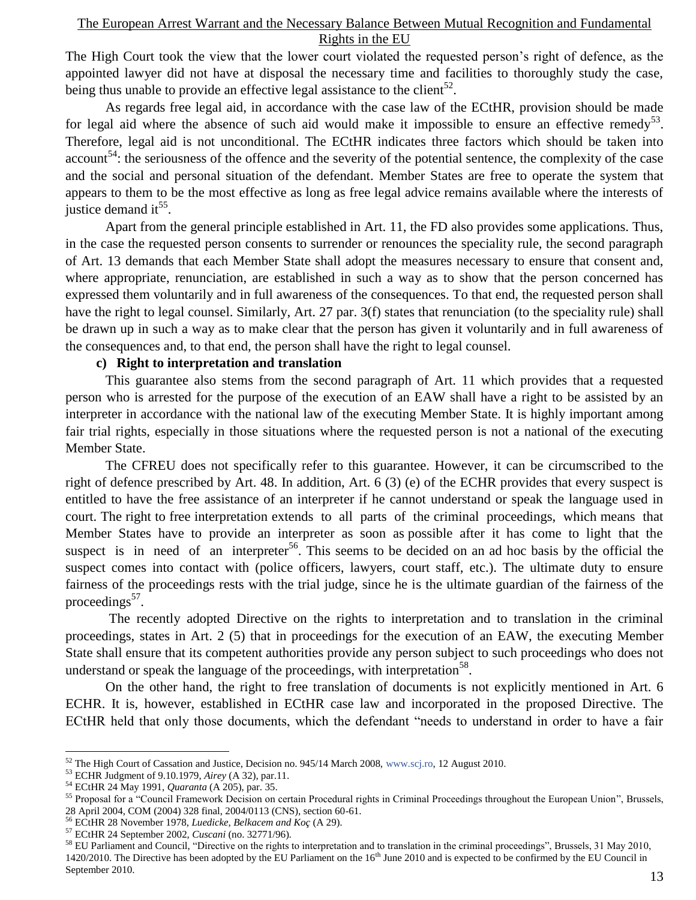The High Court took the view that the lower court violated the requested person"s right of defence, as the appointed lawyer did not have at disposal the necessary time and facilities to thoroughly study the case, being thus unable to provide an effective legal assistance to the client<sup>52</sup>.

As regards free legal aid, in accordance with the case law of the ECtHR, provision should be made for legal aid where the absence of such aid would make it impossible to ensure an effective remedy<sup>53</sup>. Therefore, legal aid is not unconditional. The ECtHR indicates three factors which should be taken into  $account^{54}$ : the seriousness of the offence and the severity of the potential sentence, the complexity of the case and the social and personal situation of the defendant. Member States are free to operate the system that appears to them to be the most effective as long as free legal advice remains available where the interests of justice demand it<sup>55</sup>.

Apart from the general principle established in Art. 11, the FD also provides some applications. Thus, in the case the requested person consents to surrender or renounces the speciality rule, the second paragraph of Art. 13 demands that each Member State shall adopt the measures necessary to ensure that consent and, where appropriate, renunciation, are established in such a way as to show that the person concerned has expressed them voluntarily and in full awareness of the consequences. To that end, the requested person shall have the right to legal counsel. Similarly, Art. 27 par. 3(f) states that renunciation (to the speciality rule) shall be drawn up in such a way as to make clear that the person has given it voluntarily and in full awareness of the consequences and, to that end, the person shall have the right to legal counsel.

#### **c) Right to interpretation and translation**

This guarantee also stems from the second paragraph of Art. 11 which provides that a requested person who is arrested for the purpose of the execution of an EAW shall have a right to be assisted by an interpreter in accordance with the national law of the executing Member State. It is highly important among fair trial rights, especially in those situations where the requested person is not a national of the executing Member State.

The CFREU does not specifically refer to this guarantee. However, it can be circumscribed to the right of defence prescribed by Art. 48. In addition, Art. 6 (3) (e) of the ECHR provides that every suspect is entitled to have the free assistance of an interpreter if he cannot understand or speak the language used in court. The right to free interpretation extends to all parts of the criminal proceedings, which means that Member States have to provide an interpreter as soon as possible after it has come to light that the suspect is in need of an interpreter<sup>56</sup>. This seems to be decided on an ad hoc basis by the official the suspect comes into contact with (police officers, lawyers, court staff, etc.). The ultimate duty to ensure fairness of the proceedings rests with the trial judge, since he is the ultimate guardian of the fairness of the proceedings<sup>57</sup>.

The recently adopted Directive on the rights to interpretation and to translation in the criminal proceedings, states in Art. 2 (5) that in proceedings for the execution of an EAW, the executing Member State shall ensure that its competent authorities provide any person subject to such proceedings who does not understand or speak the language of the proceedings, with interpretation<sup>58</sup>.

On the other hand, the right to free translation of documents is not explicitly mentioned in Art. 6 ECHR. It is, however, established in ECtHR case law and incorporated in the proposed Directive. The ECtHR held that only those documents, which the defendant "needs to understand in order to have a fair

<sup>52</sup> The High Court of Cassation and Justice, Decision no. 945/14 March 2008, [www.scj.ro,](http://www.scj.ro/) 12 August 2010.

<sup>53</sup> ECHR Judgment of 9.10.1979, *Airey* (A 32), par.11.

<sup>54</sup> ECtHR 24 May 1991, *Quaranta* (A 205), par. 35.

<sup>55</sup> Proposal for a "Council Framework Decision on certain Procedural rights in Criminal Proceedings throughout the European Union", Brussels, 28 April 2004, COM (2004) 328 final, 2004/0113 (CNS), section 60-61.

<sup>56</sup> ECtHR 28 November 1978, *Luedicke, Belkacem and Koç* (A 29).

<sup>57</sup> ECtHR 24 September 2002, *Cuscani* (no. 32771/96).

<sup>58</sup> EU Parliament and Council, "Directive on the rights to interpretation and to translation in the criminal proceedings", Brussels, 31 May 2010, 1420/2010. The Directive has been adopted by the EU Parliament on the 16<sup>th</sup> June 2010 and is expected to be confirmed by the EU Council in September 2010.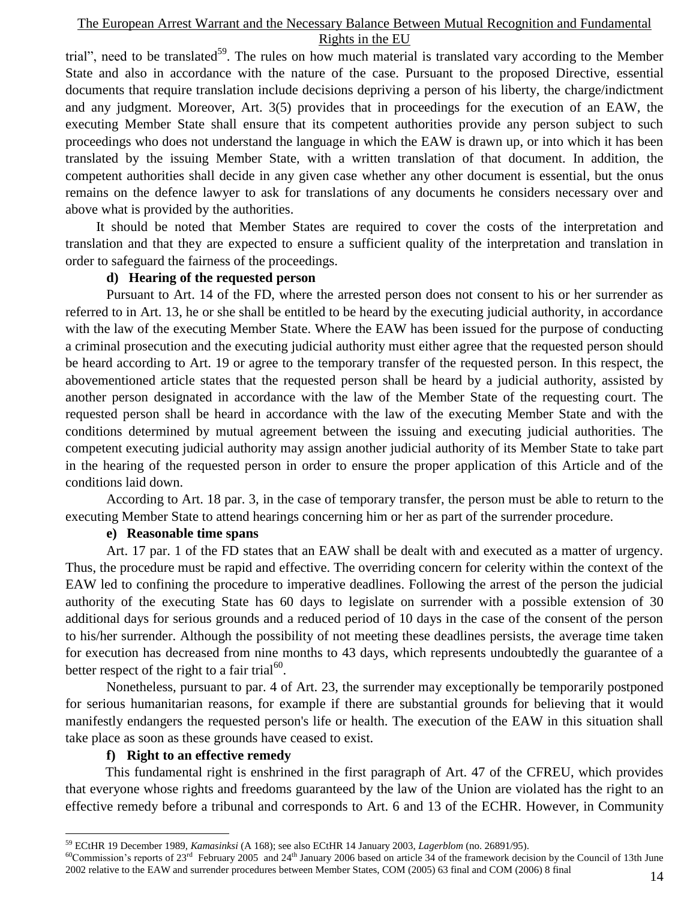trial", need to be translated<sup>59</sup>. The rules on how much material is translated vary according to the Member State and also in accordance with the nature of the case. Pursuant to the proposed Directive, essential documents that require translation include decisions depriving a person of his liberty, the charge/indictment and any judgment. Moreover, Art. 3(5) provides that in proceedings for the execution of an EAW, the executing Member State shall ensure that its competent authorities provide any person subject to such proceedings who does not understand the language in which the EAW is drawn up, or into which it has been translated by the issuing Member State, with a written translation of that document. In addition, the competent authorities shall decide in any given case whether any other document is essential, but the onus remains on the defence lawyer to ask for translations of any documents he considers necessary over and above what is provided by the authorities.

It should be noted that Member States are required to cover the costs of the interpretation and translation and that they are expected to ensure a sufficient quality of the interpretation and translation in order to safeguard the fairness of the proceedings.

#### **d) Hearing of the requested person**

 Pursuant to Art. 14 of the FD, where the arrested person does not consent to his or her surrender as referred to in Art. 13, he or she shall be entitled to be heard by the executing judicial authority, in accordance with the law of the executing Member State. Where the EAW has been issued for the purpose of conducting a criminal prosecution and the executing judicial authority must either agree that the requested person should be heard according to Art. 19 or agree to the temporary transfer of the requested person. In this respect, the abovementioned article states that the requested person shall be heard by a judicial authority, assisted by another person designated in accordance with the law of the Member State of the requesting court. The requested person shall be heard in accordance with the law of the executing Member State and with the conditions determined by mutual agreement between the issuing and executing judicial authorities. The competent executing judicial authority may assign another judicial authority of its Member State to take part in the hearing of the requested person in order to ensure the proper application of this Article and of the conditions laid down.

According to Art. 18 par. 3, in the case of temporary transfer, the person must be able to return to the executing Member State to attend hearings concerning him or her as part of the surrender procedure.

#### **e) Reasonable time spans**

Art. 17 par. 1 of the FD states that an EAW shall be dealt with and executed as a matter of urgency. Thus, the procedure must be rapid and effective. The overriding concern for celerity within the context of the EAW led to confining the procedure to imperative deadlines. Following the arrest of the person the judicial authority of the executing State has 60 days to legislate on surrender with a possible extension of 30 additional days for serious grounds and a reduced period of 10 days in the case of the consent of the person to his/her surrender. Although the possibility of not meeting these deadlines persists, the average time taken for execution has decreased from nine months to 43 days, which represents undoubtedly the guarantee of a better respect of the right to a fair trial<sup>60</sup>.

Nonetheless, pursuant to par. 4 of Art. 23, the surrender may exceptionally be temporarily postponed for serious humanitarian reasons, for example if there are substantial grounds for believing that it would manifestly endangers the requested person's life or health. The execution of the EAW in this situation shall take place as soon as these grounds have ceased to exist.

### **f) Right to an effective remedy**

 $\overline{a}$ 

 This fundamental right is enshrined in the first paragraph of Art. 47 of the CFREU, which provides that everyone whose rights and freedoms guaranteed by the law of the Union are violated has the right to an effective remedy before a tribunal and corresponds to Art. 6 and 13 of the ECHR. However, in Community

<sup>59</sup> ECtHR 19 December 1989, *Kamasinksi* (A 168); see also ECtHR 14 January 2003, *Lagerblom* (no. 26891/95).

<sup>&</sup>lt;sup>60</sup>Commission's reports of 23<sup>rd</sup> February 2005 and 24<sup>th</sup> January 2006 based on article  $34$  of the framework decision by the Council of 13th June 2002 relative to the EAW and surrender procedures between Member States, COM (2005) 63 final and COM (2006) 8 final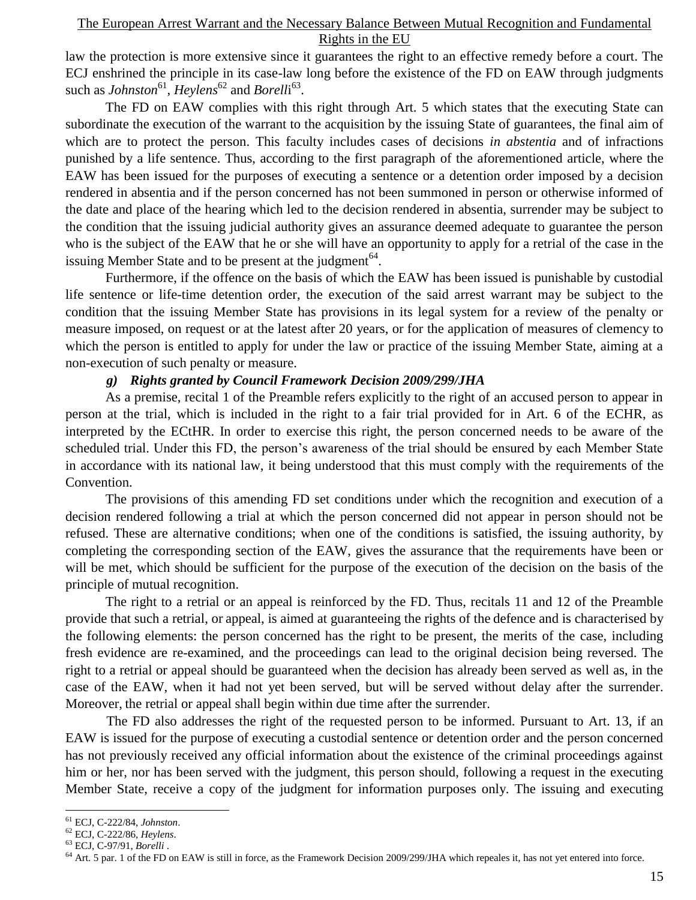law the protection is more extensive since it guarantees the right to an effective remedy before a court. The ECJ enshrined the principle in its case-law long before the existence of the FD on EAW through judgments such as *Johnston*<sup>61</sup>, *Heylens*<sup>62</sup> and *Borell*i<sup>63</sup>.

The FD on EAW complies with this right through Art. 5 which states that the executing State can subordinate the execution of the warrant to the acquisition by the issuing State of guarantees, the final aim of which are to protect the person. This faculty includes cases of decisions *in abstentia* and of infractions punished by a life sentence. Thus, according to the first paragraph of the aforementioned article, where the EAW has been issued for the purposes of executing a sentence or a detention order imposed by a decision rendered in absentia and if the person concerned has not been summoned in person or otherwise informed of the date and place of the hearing which led to the decision rendered in absentia, surrender may be subject to the condition that the issuing judicial authority gives an assurance deemed adequate to guarantee the person who is the subject of the EAW that he or she will have an opportunity to apply for a retrial of the case in the issuing Member State and to be present at the judgment  $64$ .

Furthermore, if the offence on the basis of which the EAW has been issued is punishable by custodial life sentence or life-time detention order, the execution of the said arrest warrant may be subject to the condition that the issuing Member State has provisions in its legal system for a review of the penalty or measure imposed, on request or at the latest after 20 years, or for the application of measures of clemency to which the person is entitled to apply for under the law or practice of the issuing Member State, aiming at a non-execution of such penalty or measure.

#### *g) Rights granted by Council Framework Decision 2009/299/JHA*

 As a premise, recital 1 of the Preamble refers explicitly to the right of an accused person to appear in person at the trial, which is included in the right to a fair trial provided for in Art. 6 of the ECHR, as interpreted by the ECtHR. In order to exercise this right, the person concerned needs to be aware of the scheduled trial. Under this FD, the person's awareness of the trial should be ensured by each Member State in accordance with its national law, it being understood that this must comply with the requirements of the Convention.

The provisions of this amending FD set conditions under which the recognition and execution of a decision rendered following a trial at which the person concerned did not appear in person should not be refused. These are alternative conditions; when one of the conditions is satisfied, the issuing authority, by completing the corresponding section of the EAW, gives the assurance that the requirements have been or will be met, which should be sufficient for the purpose of the execution of the decision on the basis of the principle of mutual recognition.

The right to a retrial or an appeal is reinforced by the FD. Thus, recitals 11 and 12 of the Preamble provide that such a retrial, or appeal, is aimed at guaranteeing the rights of the defence and is characterised by the following elements: the person concerned has the right to be present, the merits of the case, including fresh evidence are re-examined, and the proceedings can lead to the original decision being reversed. The right to a retrial or appeal should be guaranteed when the decision has already been served as well as, in the case of the EAW, when it had not yet been served, but will be served without delay after the surrender. Moreover, the retrial or appeal shall begin within due time after the surrender.

The FD also addresses the right of the requested person to be informed. Pursuant to Art. 13, if an EAW is issued for the purpose of executing a custodial sentence or detention order and the person concerned has not previously received any official information about the existence of the criminal proceedings against him or her, nor has been served with the judgment, this person should, following a request in the executing Member State, receive a copy of the judgment for information purposes only. The issuing and executing

<sup>61</sup> ECJ, C-222/84, *Johnston*.

<sup>62</sup> ECJ, C-222/86, *Heylens*.

<sup>63</sup> ECJ, C-97/91, *Borelli* .

<sup>&</sup>lt;sup>64</sup> Art. 5 par. 1 of the FD on EAW is still in force, as the Framework Decision 2009/299/JHA which repeales it, has not yet entered into force.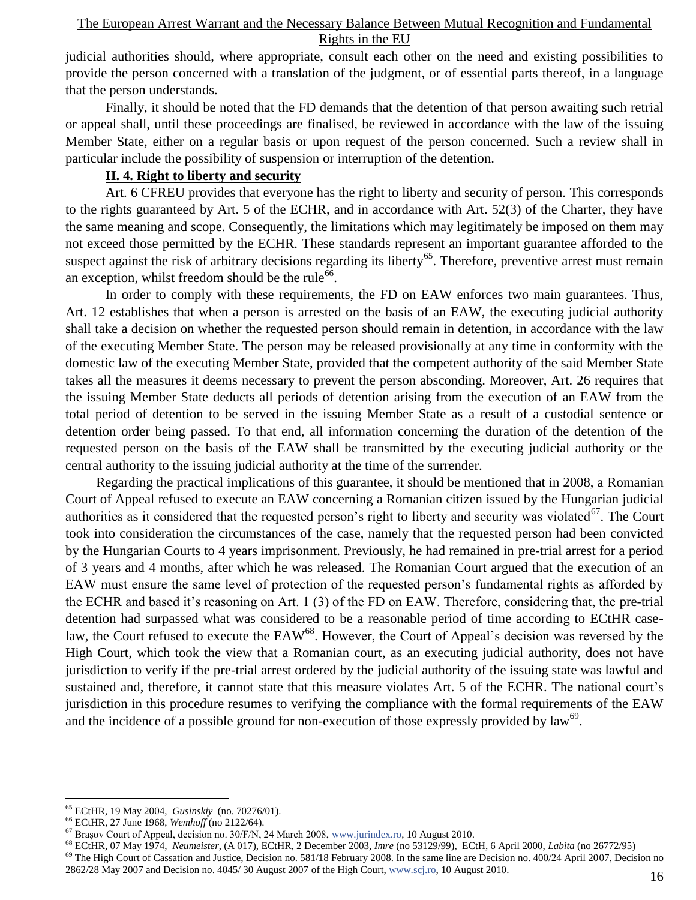judicial authorities should, where appropriate, consult each other on the need and existing possibilities to provide the person concerned with a translation of the judgment, or of essential parts thereof, in a language that the person understands.

Finally, it should be noted that the FD demands that the detention of that person awaiting such retrial or appeal shall, until these proceedings are finalised, be reviewed in accordance with the law of the issuing Member State, either on a regular basis or upon request of the person concerned. Such a review shall in particular include the possibility of suspension or interruption of the detention.

## **II. 4. Right to liberty and security**

Art. 6 CFREU provides that everyone has the right to liberty and security of person. This corresponds to the rights guaranteed by Art. 5 of the ECHR, and in accordance with Art. 52(3) of the Charter, they have the same meaning and scope. Consequently, the limitations which may legitimately be imposed on them may not exceed those permitted by the ECHR. These standards represent an important guarantee afforded to the suspect against the risk of arbitrary decisions regarding its liberty<sup>65</sup>. Therefore, preventive arrest must remain an exception, whilst freedom should be the rule<sup>66</sup>.

In order to comply with these requirements, the FD on EAW enforces two main guarantees. Thus, Art. 12 establishes that when a person is arrested on the basis of an EAW, the executing judicial authority shall take a decision on whether the requested person should remain in detention, in accordance with the law of the executing Member State. The person may be released provisionally at any time in conformity with the domestic law of the executing Member State, provided that the competent authority of the said Member State takes all the measures it deems necessary to prevent the person absconding. Moreover, Art. 26 requires that the issuing Member State deducts all periods of detention arising from the execution of an EAW from the total period of detention to be served in the issuing Member State as a result of a custodial sentence or detention order being passed. To that end, all information concerning the duration of the detention of the requested person on the basis of the EAW shall be transmitted by the executing judicial authority or the central authority to the issuing judicial authority at the time of the surrender.

Regarding the practical implications of this guarantee, it should be mentioned that in 2008, a Romanian Court of Appeal refused to execute an EAW concerning a Romanian citizen issued by the Hungarian judicial authorities as it considered that the requested person's right to liberty and security was violated<sup>67</sup>. The Court took into consideration the circumstances of the case, namely that the requested person had been convicted by the Hungarian Courts to 4 years imprisonment. Previously, he had remained in pre-trial arrest for a period of 3 years and 4 months, after which he was released. The Romanian Court argued that the execution of an EAW must ensure the same level of protection of the requested person"s fundamental rights as afforded by the ECHR and based it's reasoning on Art. 1 (3) of the FD on EAW. Therefore, considering that, the pre-trial detention had surpassed what was considered to be a reasonable period of time according to ECtHR caselaw, the Court refused to execute the EAW<sup>68</sup>. However, the Court of Appeal's decision was reversed by the High Court, which took the view that a Romanian court, as an executing judicial authority, does not have jurisdiction to verify if the pre-trial arrest ordered by the judicial authority of the issuing state was lawful and sustained and, therefore, it cannot state that this measure violates Art. 5 of the ECHR. The national court's jurisdiction in this procedure resumes to verifying the compliance with the formal requirements of the EAW and the incidence of a possible ground for non-execution of those expressly provided by  $law^{69}$ .

 $\overline{a}$ 

<sup>68</sup> ECtHR, 07 May 1974, *Neumeister*, (A 017), ECtHR, 2 December 2003, *Imre* (no 53129/99), ECtH, 6 April 2000, *Labita* (no 26772/95)

<sup>65</sup> ECtHR, 19 May 2004, *Gusinskiy* (no. 70276/01).

<sup>66</sup> ECtHR, 27 June 1968, *Wemhoff* (no 2122/64).

<sup>67</sup> Braşov Court of Appeal, decision no. 30/F/N, 24 March 2008, [www.jurindex.ro,](http://www.jurindex.ro/) 10 August 2010.

 $^{69}$  The High Court of Cassation and Justice, Decision no. 581/18 February 2008. In the same line are Decision no. 400/24 April 2007, Decision no 2862/28 May 2007 and Decision no. 4045/ 30 August 2007 of the High Court, [www.scj.ro,](http://www.scj.ro/) 10 August 2010.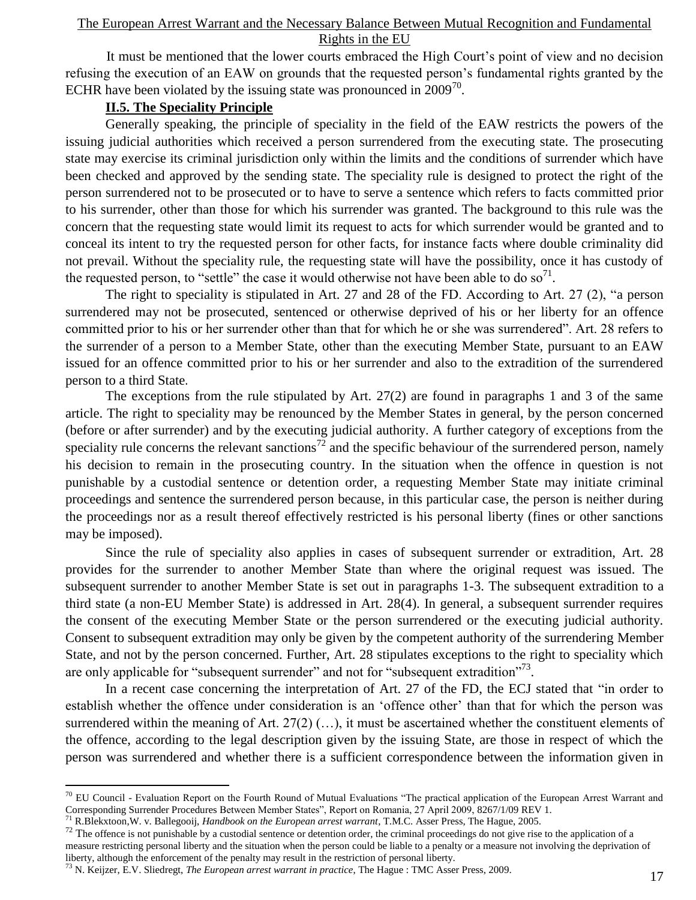It must be mentioned that the lower courts embraced the High Court's point of view and no decision refusing the execution of an EAW on grounds that the requested person"s fundamental rights granted by the ECHR have been violated by the issuing state was pronounced in  $2009^{70}$ .

# **II.5. The Speciality Principle**

Generally speaking, the principle of speciality in the field of the EAW restricts the powers of the issuing judicial authorities which received a person surrendered from the executing state. The prosecuting state may exercise its criminal jurisdiction only within the limits and the conditions of surrender which have been checked and approved by the sending state. The speciality rule is designed to protect the right of the person surrendered not to be prosecuted or to have to serve a sentence which refers to facts committed prior to his surrender, other than those for which his surrender was granted. The background to this rule was the concern that the requesting state would limit its request to acts for which surrender would be granted and to conceal its intent to try the requested person for other facts, for instance facts where double criminality did not prevail. Without the speciality rule, the requesting state will have the possibility, once it has custody of the requested person, to "settle" the case it would otherwise not have been able to do so<sup>71</sup>.

The right to speciality is stipulated in Art. 27 and 28 of the FD. According to Art. 27 (2), "a person surrendered may not be prosecuted, sentenced or otherwise deprived of his or her liberty for an offence committed prior to his or her surrender other than that for which he or she was surrendered". Art. 28 refers to the surrender of a person to a Member State, other than the executing Member State, pursuant to an EAW issued for an offence committed prior to his or her surrender and also to the extradition of the surrendered person to a third State.

The exceptions from the rule stipulated by Art. 27(2) are found in paragraphs 1 and 3 of the same article. The right to speciality may be renounced by the Member States in general, by the person concerned (before or after surrender) and by the executing judicial authority. A further category of exceptions from the speciality rule concerns the relevant sanctions<sup>72</sup> and the specific behaviour of the surrendered person, namely his decision to remain in the prosecuting country. In the situation when the offence in question is not punishable by a custodial sentence or detention order, a requesting Member State may initiate criminal proceedings and sentence the surrendered person because, in this particular case, the person is neither during the proceedings nor as a result thereof effectively restricted is his personal liberty (fines or other sanctions may be imposed).

Since the rule of speciality also applies in cases of subsequent surrender or extradition, Art. 28 provides for the surrender to another Member State than where the original request was issued. The subsequent surrender to another Member State is set out in paragraphs 1-3. The subsequent extradition to a third state (a non-EU Member State) is addressed in Art. 28(4). In general, a subsequent surrender requires the consent of the executing Member State or the person surrendered or the executing judicial authority. Consent to subsequent extradition may only be given by the competent authority of the surrendering Member State, and not by the person concerned. Further, Art. 28 stipulates exceptions to the right to speciality which are only applicable for "subsequent surrender" and not for "subsequent extradition"<sup>73</sup>.

In a recent case concerning the interpretation of Art. 27 of the FD, the ECJ stated that "in order to establish whether the offence under consideration is an "offence other" than that for which the person was surrendered within the meaning of Art. 27(2) (…), it must be ascertained whether the constituent elements of the offence, according to the legal description given by the issuing State, are those in respect of which the person was surrendered and whether there is a sufficient correspondence between the information given in

 $70$  EU Council - Evaluation Report on the Fourth Round of Mutual Evaluations "The practical application of the European Arrest Warrant and Corresponding Surrender Procedures Between Member States", Report on Romania, 27 April 2009, 8267/1/09 REV 1.

<sup>71</sup> R.Blekxtoon,W. v. Ballegooij, *Handbook on the European arrest warrant*, T.M.C. Asser Press, The Hague, 2005.

The offence is not punishable by a custodial sentence or detention order, the criminal proceedings do not give rise to the application of a measure restricting personal liberty and the situation when the person could be liable to a penalty or a measure not involving the deprivation of liberty, although the enforcement of the penalty may result in the restriction of personal liberty.

<sup>73</sup> N. Keijzer, E.V. Sliedregt, *The European arrest warrant in practice*, The Hague : TMC Asser Press, 2009.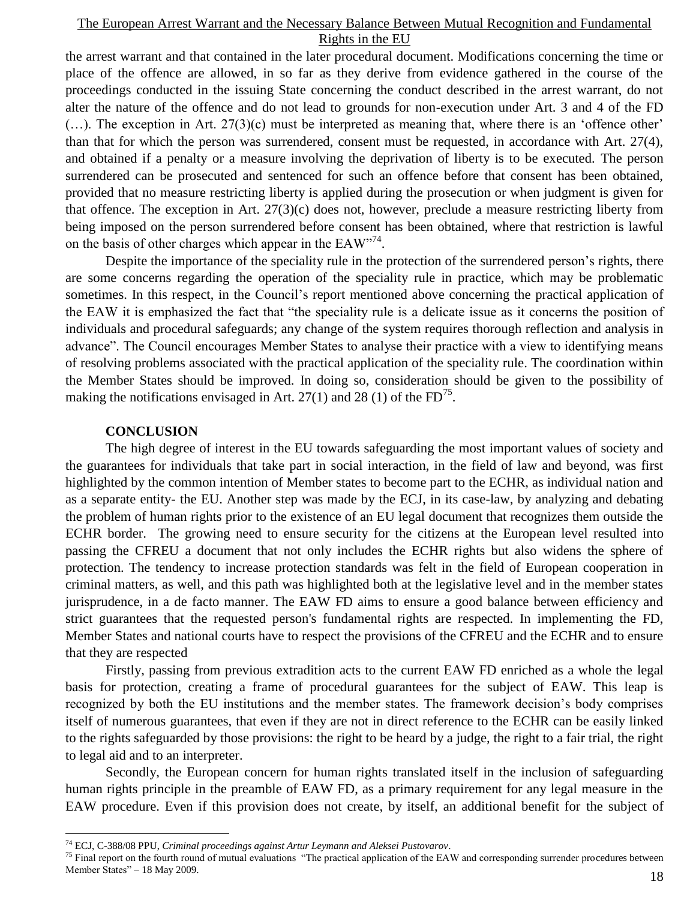the arrest warrant and that contained in the later procedural document. Modifications concerning the time or place of the offence are allowed, in so far as they derive from evidence gathered in the course of the proceedings conducted in the issuing State concerning the conduct described in the arrest warrant, do not alter the nature of the offence and do not lead to grounds for non-execution under Art. 3 and 4 of the FD  $(...)$ . The exception in Art. 27(3)(c) must be interpreted as meaning that, where there is an 'offence other' than that for which the person was surrendered, consent must be requested, in accordance with Art. 27(4), and obtained if a penalty or a measure involving the deprivation of liberty is to be executed. The person surrendered can be prosecuted and sentenced for such an offence before that consent has been obtained, provided that no measure restricting liberty is applied during the prosecution or when judgment is given for that offence. The exception in Art. 27(3)(c) does not, however, preclude a measure restricting liberty from being imposed on the person surrendered before consent has been obtained, where that restriction is lawful on the basis of other charges which appear in the  $EAW^{\prime\prime 74}$ .

Despite the importance of the speciality rule in the protection of the surrendered person"s rights, there are some concerns regarding the operation of the speciality rule in practice, which may be problematic sometimes. In this respect, in the Council's report mentioned above concerning the practical application of the EAW it is emphasized the fact that "the speciality rule is a delicate issue as it concerns the position of individuals and procedural safeguards; any change of the system requires thorough reflection and analysis in advance". The Council encourages Member States to analyse their practice with a view to identifying means of resolving problems associated with the practical application of the speciality rule. The coordination within the Member States should be improved. In doing so, consideration should be given to the possibility of making the notifications envisaged in Art. 27(1) and 28 (1) of the  $FD^{75}$ .

## **CONCLUSION**

 $\overline{a}$ 

The high degree of interest in the EU towards safeguarding the most important values of society and the guarantees for individuals that take part in social interaction, in the field of law and beyond, was first highlighted by the common intention of Member states to become part to the ECHR, as individual nation and as a separate entity- the EU. Another step was made by the ECJ, in its case-law, by analyzing and debating the problem of human rights prior to the existence of an EU legal document that recognizes them outside the ECHR border. The growing need to ensure security for the citizens at the European level resulted into passing the CFREU a document that not only includes the ECHR rights but also widens the sphere of protection. The tendency to increase protection standards was felt in the field of European cooperation in criminal matters, as well, and this path was highlighted both at the legislative level and in the member states jurisprudence, in a de facto manner. The EAW FD aims to ensure a good balance between efficiency and strict guarantees that the requested person's fundamental rights are respected. In implementing the FD, Member States and national courts have to respect the provisions of the CFREU and the ECHR and to ensure that they are respected

Firstly, passing from previous extradition acts to the current EAW FD enriched as a whole the legal basis for protection, creating a frame of procedural guarantees for the subject of EAW. This leap is recognized by both the EU institutions and the member states. The framework decision"s body comprises itself of numerous guarantees, that even if they are not in direct reference to the ECHR can be easily linked to the rights safeguarded by those provisions: the right to be heard by a judge, the right to a fair trial, the right to legal aid and to an interpreter.

Secondly, the European concern for human rights translated itself in the inclusion of safeguarding human rights principle in the preamble of EAW FD, as a primary requirement for any legal measure in the EAW procedure. Even if this provision does not create, by itself, an additional benefit for the subject of

<sup>74</sup> ECJ, C-388/08 PPU, *Criminal proceedings against Artur Leymann and Aleksei Pustovarov*.

 $75$  Final report on the fourth round of mutual evaluations "The practical application of the EAW and corresponding surrender procedures between Member States" – 18 May 2009.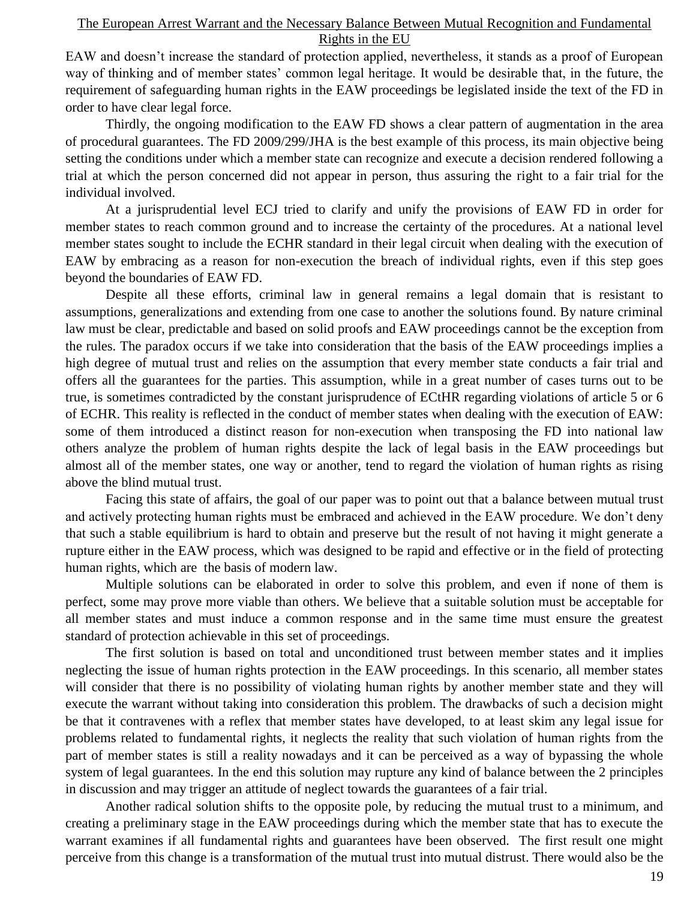EAW and doesn"t increase the standard of protection applied, nevertheless, it stands as a proof of European way of thinking and of member states' common legal heritage. It would be desirable that, in the future, the requirement of safeguarding human rights in the EAW proceedings be legislated inside the text of the FD in order to have clear legal force.

Thirdly, the ongoing modification to the EAW FD shows a clear pattern of augmentation in the area of procedural guarantees. The FD 2009/299/JHA is the best example of this process, its main objective being setting the conditions under which a member state can recognize and execute a decision rendered following a trial at which the person concerned did not appear in person, thus assuring the right to a fair trial for the individual involved.

At a jurisprudential level ECJ tried to clarify and unify the provisions of EAW FD in order for member states to reach common ground and to increase the certainty of the procedures. At a national level member states sought to include the ECHR standard in their legal circuit when dealing with the execution of EAW by embracing as a reason for non-execution the breach of individual rights, even if this step goes beyond the boundaries of EAW FD.

Despite all these efforts, criminal law in general remains a legal domain that is resistant to assumptions, generalizations and extending from one case to another the solutions found. By nature criminal law must be clear, predictable and based on solid proofs and EAW proceedings cannot be the exception from the rules. The paradox occurs if we take into consideration that the basis of the EAW proceedings implies a high degree of mutual trust and relies on the assumption that every member state conducts a fair trial and offers all the guarantees for the parties. This assumption, while in a great number of cases turns out to be true, is sometimes contradicted by the constant jurisprudence of ECtHR regarding violations of article 5 or 6 of ECHR. This reality is reflected in the conduct of member states when dealing with the execution of EAW: some of them introduced a distinct reason for non-execution when transposing the FD into national law others analyze the problem of human rights despite the lack of legal basis in the EAW proceedings but almost all of the member states, one way or another, tend to regard the violation of human rights as rising above the blind mutual trust.

Facing this state of affairs, the goal of our paper was to point out that a balance between mutual trust and actively protecting human rights must be embraced and achieved in the EAW procedure. We don"t deny that such a stable equilibrium is hard to obtain and preserve but the result of not having it might generate a rupture either in the EAW process, which was designed to be rapid and effective or in the field of protecting human rights, which are the basis of modern law.

Multiple solutions can be elaborated in order to solve this problem, and even if none of them is perfect, some may prove more viable than others. We believe that a suitable solution must be acceptable for all member states and must induce a common response and in the same time must ensure the greatest standard of protection achievable in this set of proceedings.

The first solution is based on total and unconditioned trust between member states and it implies neglecting the issue of human rights protection in the EAW proceedings. In this scenario, all member states will consider that there is no possibility of violating human rights by another member state and they will execute the warrant without taking into consideration this problem. The drawbacks of such a decision might be that it contravenes with a reflex that member states have developed, to at least skim any legal issue for problems related to fundamental rights, it neglects the reality that such violation of human rights from the part of member states is still a reality nowadays and it can be perceived as a way of bypassing the whole system of legal guarantees. In the end this solution may rupture any kind of balance between the 2 principles in discussion and may trigger an attitude of neglect towards the guarantees of a fair trial.

Another radical solution shifts to the opposite pole, by reducing the mutual trust to a minimum, and creating a preliminary stage in the EAW proceedings during which the member state that has to execute the warrant examines if all fundamental rights and guarantees have been observed. The first result one might perceive from this change is a transformation of the mutual trust into mutual distrust. There would also be the